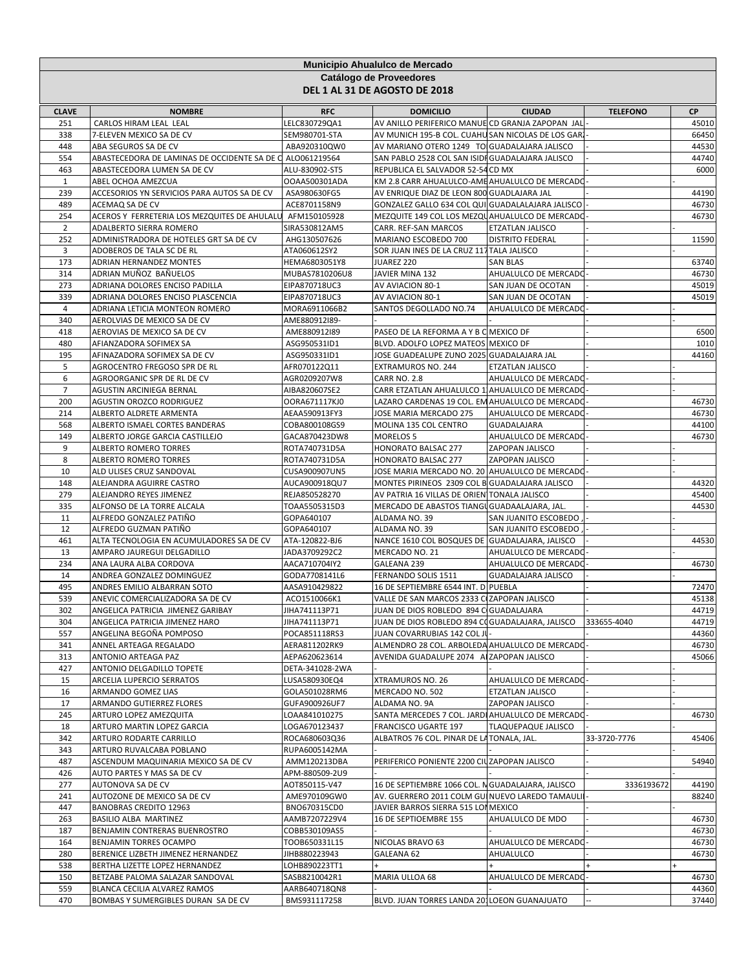|                                                          |                                                                     |                                 | Municipio Ahualulco de Mercado                                                      |                                            |                 |                |  |  |
|----------------------------------------------------------|---------------------------------------------------------------------|---------------------------------|-------------------------------------------------------------------------------------|--------------------------------------------|-----------------|----------------|--|--|
| Catálogo de Proveedores<br>DEL 1 AL 31 DE AGOSTO DE 2018 |                                                                     |                                 |                                                                                     |                                            |                 |                |  |  |
| <b>CLAVE</b>                                             | <b>NOMBRE</b>                                                       | <b>RFC</b>                      | <b>DOMICILIO</b>                                                                    | <b>CIUDAD</b>                              | <b>TELEFONO</b> | СP             |  |  |
| 251                                                      | CARLOS HIRAM LEAL LEAL                                              | LELC830729QA1                   | AV ANILLO PERIFERICO MANUE CD GRANJA ZAPOPAN JAL                                    |                                            |                 | 45010          |  |  |
| 338                                                      | 7-ELEVEN MEXICO SA DE CV                                            | SEM980701-STA                   | AV MUNICH 195-B COL. CUAHU SAN NICOLAS DE LOS GARI                                  |                                            |                 | 66450          |  |  |
| 448                                                      | ABA SEGUROS SA DE CV                                                | ABA920310QW0                    | AV MARIANO OTERO 1249 TO GUADALAJARA JALISCO                                        |                                            |                 | 44530          |  |  |
| 554                                                      | ABASTECEDORA DE LAMINAS DE OCCIDENTE SA DE C ALO061219564           |                                 | SAN PABLO 2528 COL SAN ISIDI GUADALAJARA JALISCO                                    |                                            |                 | 44740          |  |  |
| 463<br>1                                                 | ABASTECEDORA LUMEN SA DE CV<br>ABEL OCHOA AMEZCUA                   | ALU-830902-ST5<br>OOAA500301ADA | REPUBLICA EL SALVADOR 52-54 CD MX<br>KM 2.8 CARR AHUALULCO-AME AHUALULCO DE MERCADO |                                            |                 | 6000           |  |  |
| 239                                                      | ACCESORIOS YN SERVICIOS PARA AUTOS SA DE CV                         | ASA980630FG5                    | AV ENRIQUE DIAZ DE LEON 800 GUADLAJARA JAL                                          |                                            |                 | 44190          |  |  |
| 489                                                      | ACEMAQ SA DE CV                                                     | ACE8701158N9                    | GONZALEZ GALLO 634 COL QUI GUADALALAJARA JALISCO                                    |                                            |                 | 46730          |  |  |
| 254                                                      | ACEROS Y FERRETERIA LOS MEZQUITES DE AHULALU                        | AFM150105928                    | MEZQUITE 149 COL LOS MEZQUAHUALULCO DE MERCADO                                      |                                            |                 | 46730          |  |  |
| $\overline{2}$                                           | ADALBERTO SIERRA ROMERO                                             | SIRA530812AM5                   | CARR. REF-SAN MARCOS                                                                | ETZATLAN JALISCO                           |                 |                |  |  |
| 252                                                      | ADMINISTRADORA DE HOTELES GRT SA DE CV                              | AHG130507626                    | MARIANO ESCOBEDO 700                                                                | <b>DISTRITO FEDERAL</b>                    |                 | 11590          |  |  |
| 3                                                        | ADOBEROS DE TALA SC DE RL                                           | ATA060612SY2                    | SOR JUAN INES DE LA CRUZ 117 TALA JALISCO                                           |                                            |                 |                |  |  |
| 173                                                      | ADRIAN HERNANDEZ MONTES                                             | HEMA6803051Y8                   | JUAREZ 220                                                                          | <b>SAN BLAS</b>                            |                 | 63740          |  |  |
| 314                                                      | ADRIAN MUÑOZ BAÑUELOS                                               | MUBAS7810206U8                  | JAVIER MINA 132                                                                     | AHUALULCO DE MERCADO                       |                 | 46730          |  |  |
| 273<br>339                                               | ADRIANA DOLORES ENCISO PADILLA<br>ADRIANA DOLORES ENCISO PLASCENCIA | EIPA870718UC3<br>EIPA870718UC3  | AV AVIACION 80-1                                                                    | SAN JUAN DE OCOTAN                         |                 | 45019<br>45019 |  |  |
| $\overline{4}$                                           | ADRIANA LETICIA MONTEON ROMERO                                      | MORA6911066B2                   | AV AVIACION 80-1<br>SANTOS DEGOLLADO NO.74                                          | SAN JUAN DE OCOTAN<br>AHUALULCO DE MERCADO |                 |                |  |  |
| 340                                                      | AEROLVIAS DE MEXICO SA DE CV                                        | AME880912I89-                   |                                                                                     |                                            |                 |                |  |  |
| 418                                                      | AEROVIAS DE MEXICO SA DE CV                                         | AME880912I89                    | PASEO DE LA REFORMA A Y B C MEXICO DF                                               |                                            |                 | 6500           |  |  |
| 480                                                      | AFIANZADORA SOFIMEX SA                                              | ASG950531ID1                    | BLVD. ADOLFO LOPEZ MATEOS MEXICO DF                                                 |                                            |                 | 1010           |  |  |
| 195                                                      | AFINAZADORA SOFIMEX SA DE CV                                        | ASG950331ID1                    | JOSE GUADEALUPE ZUNO 2025 GUADALAJARA JAL                                           |                                            |                 | 44160          |  |  |
| 5                                                        | AGROCENTRO FREGOSO SPR DE RL                                        | AFR070122Q11                    | <b>EXTRAMUROS NO. 244</b>                                                           | ETZATLAN JALISCO                           |                 |                |  |  |
| 6                                                        | AGROORGANIC SPR DE RL DE CV                                         | AGR0209207W8                    | <b>CARR NO. 2.8</b>                                                                 | AHUALULCO DE MERCADO                       |                 |                |  |  |
| $\overline{7}$                                           | AGUSTIN ARCINIEGA BERNAL                                            | AIBA820607SE2                   | CARR ETZATLAN AHUALULCO 1 AHUALULCO DE MERCADO                                      |                                            |                 |                |  |  |
| 200                                                      | AGUSTIN OROZCO RODRIGUEZ                                            | OORA671117KJ0                   | LAZARO CARDENAS 19 COL. EM AHUALULCO DE MERCADO                                     |                                            |                 | 46730          |  |  |
| 214                                                      | ALBERTO ALDRETE ARMENTA                                             | AEAA590913FY3                   | JOSE MARIA MERCADO 275                                                              | AHUALULCO DE MERCADO                       |                 | 46730          |  |  |
| 568                                                      | ALBERTO ISMAEL CORTES BANDERAS                                      | COBA800108GS9                   | MOLINA 135 COL CENTRO                                                               | <b>GUADALAJARA</b>                         |                 | 44100          |  |  |
| 149<br>9                                                 | ALBERTO JORGE GARCIA CASTILLEJO<br>ALBERTO ROMERO TORRES            | GACA870423DW8                   | <b>MORELOS 5</b><br>HONORATO BALSAC 277                                             | AHUALULCO DE MERCADO                       |                 | 46730          |  |  |
| 8                                                        | ALBERTO ROMERO TORRES                                               | ROTA740731D5A<br>ROTA740731D5A  | HONORATO BALSAC 277                                                                 | ZAPOPAN JALISCO<br>ZAPOPAN JALISCO         |                 |                |  |  |
| 10                                                       | ALD ULISES CRUZ SANDOVAL                                            | CUSA900907UN5                   | JOSE MARIA MERCADO NO. 20 AHUALULCO DE MERCADO                                      |                                            |                 |                |  |  |
| 148                                                      | ALEJANDRA AGUIRRE CASTRO                                            | AUCA900918QU7                   | MONTES PIRINEOS 2309 COL B GUADALAJARA JALISCO                                      |                                            |                 | 44320          |  |  |
| 279                                                      | ALEJANDRO REYES JIMENEZ                                             | REJA850528270                   | AV PATRIA 16 VILLAS DE ORIEN TONALA JALISCO                                         |                                            |                 | 45400          |  |  |
| 335                                                      | ALFONSO DE LA TORRE ALCALA                                          | TOAA5505315D3                   | MERCADO DE ABASTOS TIANGU GUADAALAJARA, JAL.                                        |                                            |                 | 44530          |  |  |
| 11                                                       | ALFREDO GONZALEZ PATIÑO                                             | GOPA640107                      | ALDAMA NO. 39                                                                       | SAN JUANITO ESCOBEDO                       |                 |                |  |  |
| 12                                                       | ALFREDO GUZMAN PATIÑO                                               | GOPA640107                      | ALDAMA NO. 39                                                                       | SAN JUANITO ESCOBEDO                       |                 |                |  |  |
| 461                                                      | ALTA TECNOLOGIA EN ACUMULADORES SA DE CV                            | ATA-120822-BJ6                  | NANCE 1610 COL BOSQUES DE GUADALAJARA, JALISCO                                      |                                            |                 | 44530          |  |  |
| 13                                                       | AMPARO JAUREGUI DELGADILLO                                          | JADA3709292C2                   | MERCADO NO. 21                                                                      | AHUALULCO DE MERCADO                       |                 |                |  |  |
| 234<br>14                                                | ANA LAURA ALBA CORDOVA                                              | AACA710704IY2                   | GALEANA 239<br>FERNANDO SOLIS 1511                                                  | AHUALULCO DE MERCADO                       |                 | 46730          |  |  |
| 495                                                      | ANDREA GONZALEZ DOMINGUEZ<br>ANDRES EMILIO ALBARRAN SOTO            | GODA7708141L6<br>AASA910429822  | 16 DE SEPTIEMBRE 6544 INT. D PUEBLA                                                 | GUADALAJARA JALISCO                        |                 | 72470          |  |  |
| 539                                                      | ANEVIC COMERCIALIZADORA SA DE CV                                    | ACO1510066K1                    | VALLE DE SAN MARCOS 2333 C ZAPOPAN JALISCO                                          |                                            |                 | 45138          |  |  |
| 302                                                      | ANGELICA PATRICIA JIMENEZ GARIBAY                                   | JIHA741113P71                   | JUAN DE DIOS ROBLEDO 894 C GUADALAJARA                                              |                                            |                 | 44719          |  |  |
| 304                                                      | ANGELICA PATRICIA JIMENEZ HARO                                      | JIHA741113P71                   | JUAN DE DIOS ROBLEDO 894 COGUADALAJARA, JALISCO                                     |                                            | 333655-4040     | 44719          |  |  |
| 557                                                      | ANGELINA BEGOÑA POMPOSO                                             | POCA851118RS3                   | JUAN COVARRUBIAS 142 COL JU                                                         |                                            |                 | 44360          |  |  |
| 341                                                      | ANNEL ARTEAGA REGALADO                                              | AERA811202RK9                   | ALMENDRO 28 COL. ARBOLEDA AHUALULCO DE MERCADO                                      |                                            |                 | 46730          |  |  |
| 313                                                      | ANTONIO ARTEAGA PAZ                                                 | AEPA620623614                   | AVENIDA GUADALUPE 2074 A ZAPOPAN JALISCO                                            |                                            |                 | 45066          |  |  |
| 427                                                      | ANTONIO DELGADILLO TOPETE                                           | DETA-341028-2WA                 |                                                                                     |                                            |                 |                |  |  |
| 15                                                       | ARCELIA LUPERCIO SERRATOS                                           | LUSA580930EQ4                   | XTRAMUROS NO. 26                                                                    | AHUALULCO DE MERCADO                       |                 |                |  |  |
| 16                                                       | ARMANDO GOMEZ LIAS                                                  | GOLA501028RM6                   | MERCADO NO. 502                                                                     | ETZATLAN JALISCO                           |                 |                |  |  |
| 17                                                       | ARMANDO GUTIERREZ FLORES                                            | GUFA900926UF7                   | ALDAMA NO. 9A                                                                       | ZAPOPAN JALISCO                            |                 |                |  |  |
| 245<br>18                                                | ARTURO LOPEZ AMEZQUITA<br>ARTURO MARTIN LOPEZ GARCIA                | LOAA841010275<br>LOGA670123437  | SANTA MERCEDES 7 COL. JARDI AHUALULCO DE MERCADO<br>FRANCISCO UGARTE 197            | TLAQUEPAQUE JALISCO                        |                 | 46730          |  |  |
| 342                                                      | ARTURO RODARTE CARRILLO                                             | ROCA680603Q36                   | ALBATROS 76 COL. PINAR DE LATONALA, JAL.                                            |                                            | 33-3720-7776    | 45406          |  |  |
| 343                                                      | ARTURO RUVALCABA POBLANO                                            | RUPA6005142MA                   |                                                                                     |                                            |                 |                |  |  |
| 487                                                      | ASCENDUM MAQUINARIA MEXICO SA DE CV                                 | AMM120213DBA                    | PERIFERICO PONIENTE 2200 CIUZAPOPAN JALISCO                                         |                                            |                 | 54940          |  |  |
| 426                                                      | AUTO PARTES Y MAS SA DE CV                                          | APM-880509-2U9                  |                                                                                     |                                            |                 |                |  |  |
| 277                                                      | AUTONOVA SA DE CV                                                   | AOT850115-V47                   | 16 DE SEPTIEMBRE 1066 COL. N GUADALAJARA, JALISCO                                   |                                            | 3336193672      | 44190          |  |  |
| 241                                                      | AUTOZONE DE MEXICO SA DE CV                                         | AME970109GW0                    | AV. GUERRERO 2011 COLM GUI NUEVO LAREDO TAMAULI                                     |                                            |                 | 88240          |  |  |
| 447                                                      | <b>BANOBRAS CREDITO 12963</b>                                       | BNO670315CD0                    | JAVIER BARROS SIERRA 515 LOI MEXICO                                                 |                                            |                 |                |  |  |
| 263                                                      | BASILIO ALBA MARTINEZ                                               | AAMB7207229V4                   | 16 DE SEPTIOEMBRE 155                                                               | AHUALULCO DE MDO                           |                 | 46730          |  |  |
| 187                                                      | BENJAMIN CONTRERAS BUENROSTRO                                       | COBB530109AS5                   |                                                                                     |                                            |                 | 46730          |  |  |
| 164                                                      | BENJAMIN TORRES OCAMPO                                              | TOOB650331L15                   | NICOLAS BRAVO 63                                                                    | AHUALULCO DE MERCADO                       |                 | 46730          |  |  |
| 280                                                      | BERENICE LIZBETH JIMENEZ HERNANDEZ                                  | JIHB880223943                   | GALEANA 62                                                                          | AHUALULCO                                  |                 | 46730          |  |  |
| 538<br>150                                               | BERTHA LIZETTE LOPEZ HERNANDEZ<br>BETZABE PALOMA SALAZAR SANDOVAL   | LOHB890223TT1<br>SASB8210042R1  | MARIA ULLOA 68                                                                      | AHUALULCO DE MERCADC                       |                 | 46730          |  |  |
| 559                                                      | BLANCA CECILIA ALVAREZ RAMOS                                        | AARB640718QN8                   |                                                                                     |                                            |                 | 44360          |  |  |
| 470                                                      | BOMBAS Y SUMERGIBLES DURAN SA DE CV                                 | BMS931117258                    | BLVD. JUAN TORRES LANDA 201LOEON GUANAJUATO                                         |                                            |                 | 37440          |  |  |
|                                                          |                                                                     |                                 |                                                                                     |                                            |                 |                |  |  |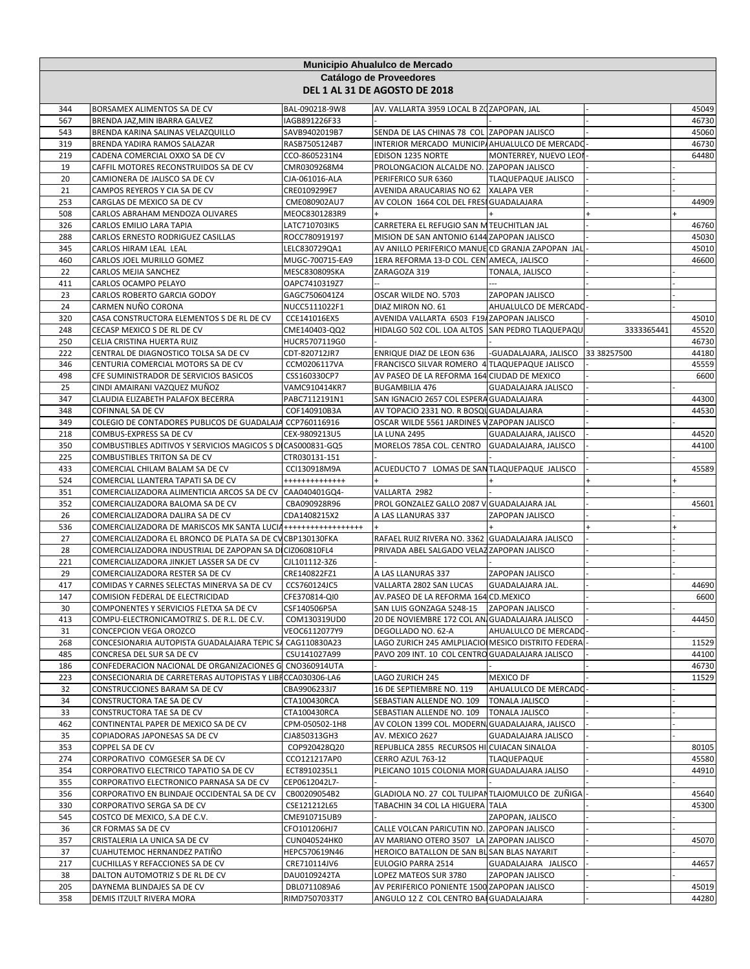|            | Municipio Ahualulco de Mercado<br>Catálogo de Proveedores<br>DEL 1 AL 31 DE AGOSTO DE 2018           |                                |                                                                                              |                            |             |                |  |  |
|------------|------------------------------------------------------------------------------------------------------|--------------------------------|----------------------------------------------------------------------------------------------|----------------------------|-------------|----------------|--|--|
|            |                                                                                                      |                                |                                                                                              |                            |             |                |  |  |
| 344        | BORSAMEX ALIMENTOS SA DE CV                                                                          | BAL-090218-9W8                 | AV. VALLARTA 3959 LOCAL B ZOZAPOPAN, JAL                                                     |                            |             | 45049          |  |  |
| 567        | BRENDA JAZ, MIN IBARRA GALVEZ                                                                        | IAGB891226F33                  |                                                                                              |                            |             | 46730          |  |  |
| 543        | BRENDA KARINA SALINAS VELAZQUILLO                                                                    | SAVB9402019B7                  | SENDA DE LAS CHINAS 78 COL ZAPOPAN JALISCO                                                   |                            |             | 45060          |  |  |
| 319<br>219 | BRENDA YADIRA RAMOS SALAZAR<br>CADENA COMERCIAL OXXO SA DE CV                                        | RASB7505124B7<br>CCO-8605231N4 | INTERIOR MERCADO MUNICIP/ AHUALULCO DE MERCADO<br>EDISON 1235 NORTE                          | MONTERREY, NUEVO LEOI      |             | 46730<br>64480 |  |  |
| 19         | CAFFIL MOTORES RECONSTRUIDOS SA DE CV                                                                | CMR0309268M4                   | PROLONGACION ALCALDE NO. ZAPOPAN JALISCO                                                     |                            |             |                |  |  |
| 20         | CAMIONERA DE JALISCO SA DE CV                                                                        | CJA-061016-ALA                 | PERIFERICO SUR 6360                                                                          | <b>TLAQUEPAQUE JALISCO</b> |             |                |  |  |
| 21         | CAMPOS REYEROS Y CIA SA DE CV                                                                        | CRE0109299E7                   | AVENIDA ARAUCARIAS NO 62                                                                     | <b>XALAPA VER</b>          |             |                |  |  |
| 253        | CARGLAS DE MEXICO SA DE CV                                                                           | CME080902AU7                   | AV COLON 1664 COL DEL FRESI GUADALAJARA                                                      |                            |             | 44909          |  |  |
| 508        | CARLOS ABRAHAM MENDOZA OLIVARES                                                                      | MEOC8301283R9                  |                                                                                              |                            |             |                |  |  |
| 326        | CARLOS EMILIO LARA TAPIA                                                                             | LATC710703IK5                  | CARRETERA EL REFUGIO SAN M TEUCHITLAN JAL                                                    |                            |             | 46760          |  |  |
| 288        | CARLOS ERNESTO RODRIGUEZ CASILLAS                                                                    | ROCC780919197                  | MISION DE SAN ANTONIO 6144 ZAPOPAN JALISCO                                                   |                            |             | 45030          |  |  |
| 345        | CARLOS HIRAM LEAL LEAL                                                                               | LELC830729QA1                  | AV ANILLO PERIFERICO MANUE CD GRANJA ZAPOPAN JAL                                             |                            |             | 45010          |  |  |
| 460        | CARLOS JOEL MURILLO GOMEZ                                                                            | MUGC-700715-EA9                | 1ERA REFORMA 13-D COL. CEN AMECA, JALISCO                                                    |                            |             | 46600          |  |  |
| 22         | CARLOS MEJIA SANCHEZ                                                                                 | MESC830809SKA                  | ZARAGOZA 319                                                                                 | TONALA, JALISCO            |             |                |  |  |
| 411        | CARLOS OCAMPO PELAYO                                                                                 | OAPC7410319Z7                  |                                                                                              |                            |             |                |  |  |
| 23         | CARLOS ROBERTO GARCIA GODOY                                                                          | GAGC7506041Z4                  | OSCAR WILDE NO. 5703                                                                         | ZAPOPAN JALISCO            |             |                |  |  |
| 24<br>320  | CARMEN NUÑO CORONA<br>CASA CONSTRUCTORA ELEMENTOS S DE RL DE CV                                      | NUCC5111022F1                  | DIAZ MIRON NO. 61                                                                            | AHUALULCO DE MERCADO       |             | 45010          |  |  |
| 248        | CECASP MEXICO S DE RL DE CV                                                                          | CCE141016EX5<br>CME140403-QQ2  | AVENIDA VALLARTA 6503 F19/ZAPOPAN JALISCO<br>HIDALGO 502 COL. LOA ALTOS SAN PEDRO TLAQUEPAQU |                            | 3333365441  | 45520          |  |  |
| 250        | CELIA CRISTINA HUERTA RUIZ                                                                           | HUCR5707119G0                  |                                                                                              |                            |             | 46730          |  |  |
| 222        | CENTRAL DE DIAGNOSTICO TOLSA SA DE CV                                                                | CDT-820712JR7                  | ENRIQUE DIAZ DE LEON 636                                                                     | -GUADALAJARA, JALISCO      | 33 38257500 | 44180          |  |  |
| 346        | CENTURIA COMERCIAL MOTORS SA DE CV                                                                   | CCM0206117VA                   | FRANCISCO SILVAR ROMERO 4 TLAQUEPAQUE JALISCO                                                |                            |             | 45559          |  |  |
| 498        | CFE SUMINISTRADOR DE SERVICIOS BASICOS                                                               | CSS160330CP7                   | AV PASEO DE LA REFORMA 164 CIUDAD DE MEXICO                                                  |                            |             | 6600           |  |  |
| 25         | CINDI AMAIRANI VAZQUEZ MUÑOZ                                                                         | VAMC910414KR7                  | <b>BUGAMBILIA 476</b>                                                                        | <b>GUADALAJARA JALISCO</b> |             |                |  |  |
| 347        | CLAUDIA ELIZABETH PALAFOX BECERRA                                                                    | PABC7112191N1                  | SAN IGNACIO 2657 COL ESPERA GUADALAJARA                                                      |                            |             | 44300          |  |  |
| 348        | COFINNAL SA DE CV                                                                                    | COF140910B3A                   | AV TOPACIO 2331 NO. R BOSQU GUADALAJARA                                                      |                            |             | 44530          |  |  |
| 349        | COLEGIO DE CONTADORES PUBLICOS DE GUADALAJA CCP760116916                                             |                                | OSCAR WILDE 5561 JARDINES V ZAPOPAN JALISCO                                                  |                            |             |                |  |  |
| 218        | COMBUS-EXPRESS SA DE CV                                                                              | CEX-9809213U5                  | LA LUNA 2495                                                                                 | GUADALAJARA, JALISCO       |             | 44520          |  |  |
| 350        | COMBUSTIBLES ADITIVOS Y SERVICIOS MAGICOS S D CAS000831-GQ5                                          |                                | MORELOS 785A COL. CENTRO GUADALAJARA, JALISCO                                                |                            |             | 44100          |  |  |
| 225        | COMBUSTIBLES TRITON SA DE CV                                                                         | CTR030131-151                  |                                                                                              |                            |             |                |  |  |
| 433        | COMERCIAL CHILAM BALAM SA DE CV                                                                      | CCI130918M9A                   | ACUEDUCTO 7 LOMAS DE SANTLAQUEPAQUE JALISCO                                                  |                            |             | 45589          |  |  |
| 524        | COMERCIAL LLANTERA TAPATI SA DE CV                                                                   | +++++++++++++                  |                                                                                              |                            |             |                |  |  |
| 351        | COMERCIALIZADORA ALIMENTICIA ARCOS SA DE CV CAA040401GQ4-                                            |                                | VALLARTA 2982                                                                                |                            |             |                |  |  |
| 352        | COMERCIALIZADORA BALOMA SA DE CV                                                                     | CBA090928R96                   | PROL GONZALEZ GALLO 2087 V GUADALAJARA JAL                                                   |                            |             | 45601          |  |  |
| 26<br>536  | COMERCIALIZADORA DALIRA SA DE CV<br>COMERCIALIZADORA DE MARISCOS MK SANTA LUCIA ++++++++++++++++++++ | CDA1408215X2                   | A LAS LLANURAS 337                                                                           | ZAPOPAN JALISCO            |             |                |  |  |
| 27         | COMERCIALIZADORA EL BRONCO DE PLATA SA DE CV CBP130130FKA                                            |                                | RAFAEL RUIZ RIVERA NO. 3362 GUADALAJARA JALISCO                                              |                            |             |                |  |  |
| 28         | COMERCIALIZADORA INDUSTRIAL DE ZAPOPAN SA DICIZ060810FL4                                             |                                | PRIVADA ABEL SALGADO VELAZ ZAPOPAN JALISCO                                                   |                            |             |                |  |  |
| 221        | COMERCIALIZADORA JINKJET LASSER SA DE CV                                                             | CJL101112-3Z6                  |                                                                                              |                            |             |                |  |  |
| 29         | COMERCIALIZADORA RESTER SA DE CV                                                                     | CRE140822FZ1                   | A LAS LLANURAS 337                                                                           | ZAPOPAN JALISCO            |             |                |  |  |
| 417        | COMIDAS Y CARNES SELECTAS MINERVA SA DE CV                                                           | CCS760124JC5                   | VALLARTA 2802 SAN LUCAS                                                                      | GUADALAJARA JAL.           |             | 44690          |  |  |
| 147        | COMISION FEDERAL DE ELECTRICIDAD                                                                     | CFE370814-QI0                  | AV.PASEO DE LA REFORMA 164 CD.MEXICO                                                         |                            |             | 6600           |  |  |
| 30         | COMPONENTES Y SERVICIOS FLETXA SA DE CV                                                              | CSF140506P5A                   | SAN LUIS GONZAGA 5248-15                                                                     | <b>ZAPOPAN JALISCO</b>     |             |                |  |  |
| 413        | COMPU-ELECTRONICAMOTRIZ S. DE R.L. DE C.V.                                                           | COM130319UD0                   | 20 DE NOVIEMBRE 172 COL AN GUADALAJARA JALISCO                                               |                            |             | 44450          |  |  |
| 31         | CONCEPCION VEGA OROZCO                                                                               | VEOC6112077Y9                  | DEGOLLADO NO. 62-A                                                                           | AHUALULCO DE MERCADO       |             |                |  |  |
| 268        | CONCESIONARIA AUTOPISTA GUADALAJARA TEPIC SA                                                         | CAG110830A23                   | LAGO ZURICH 245 AMLPLIACIOI MESICO DISTRITO FEDERA                                           |                            |             | 11529          |  |  |
| 485        | CONCRESA DEL SUR SA DE CV                                                                            | CSU141027A99                   | PAVO 209 INT. 10 COL CENTRO GUADALAJARA JALISCO                                              |                            |             | 44100          |  |  |
| 186        | CONFEDERACION NACIONAL DE ORGANIZACIONES G CNO360914UTA                                              |                                |                                                                                              |                            |             | 46730          |  |  |
| 223        | CONSECIONARIA DE CARRETERAS AUTOPISTAS Y LIBI CCA030306-LA6                                          |                                | LAGO ZURICH 245                                                                              | MEXICO DF                  |             | 11529          |  |  |
| 32         | CONSTRUCCIONES BARAM SA DE CV                                                                        | CBA9906233J7                   | 16 DE SEPTIEMBRE NO. 119                                                                     | AHUALULCO DE MERCADO       |             |                |  |  |
| 34         | CONSTRUCTORA TAE SA DE CV                                                                            | CTA100430RCA                   | SEBASTIAN ALLENDE NO. 109                                                                    | <b>TONALA JALISCO</b>      |             |                |  |  |
| 33<br>462  | CONSTRUCTORA TAE SA DE CV<br>CONTINENTAL PAPER DE MEXICO SA DE CV                                    | CTA100430RCA<br>CPM-050502-1H8 | SEBASTIAN ALLENDE NO. 109<br>AV COLON 1399 COL. MODERNI GUADALAJARA, JALISCO                 | <b>TONALA JALISCO</b>      |             |                |  |  |
| 35         | COPIADORAS JAPONESAS SA DE CV                                                                        | CJA850313GH3                   | AV. MEXICO 2627                                                                              | GUADALAJARA JALISCO        |             |                |  |  |
| 353        | COPPEL SA DE CV                                                                                      | COP920428Q20                   | REPUBLICA 2855 RECURSOS HI CUIACAN SINALOA                                                   |                            |             | 80105          |  |  |
| 274        | CORPORATIVO COMGESER SA DE CV                                                                        | CCO121217AP0                   | CERRO AZUL 763-12                                                                            | <b>TLAQUEPAQUE</b>         |             | 45580          |  |  |
| 354        | CORPORATIVO ELECTRICO TAPATIO SA DE CV                                                               | ECT8910235L1                   | PLEICANO 1015 COLONIA MORI GUADALAJARA JALISO                                                |                            |             | 44910          |  |  |
| 355        | CORPORATIVO ELECTRONICO PARNASA SA DE CV                                                             | CEP0612042L7-                  |                                                                                              |                            |             |                |  |  |
| 356        | CORPORATIVO EN BLINDAJE OCCIDENTAL SA DE CV                                                          | CB00209054B2                   | GLADIOLA NO. 27 COL TULIPAN TLAJOMULCO DE ZUÑIGA                                             |                            |             | 45640          |  |  |
| 330        | CORPORATIVO SERGA SA DE CV                                                                           | CSE121212L65                   | TABACHIN 34 COL LA HIGUERA TALA                                                              |                            |             | 45300          |  |  |
| 545        | COSTCO DE MEXICO, S.A DE C.V.                                                                        | CME910715UB9                   |                                                                                              | ZAPOPAN, JALISCO           |             |                |  |  |
| 36         | CR FORMAS SA DE CV                                                                                   | CFO101206HJ7                   | CALLE VOLCAN PARICUTIN NO. ZAPOPAN JALISCO                                                   |                            |             |                |  |  |
| 357        | CRISTALERIA LA UNICA SA DE CV                                                                        | CUN040524HK0                   | AV MARIANO OTERO 3507 LA ZAPOPAN JALISCO                                                     |                            |             | 45070          |  |  |
| 37         | CUAHUTEMOC HERNANDEZ PATIÑO                                                                          | HEPC570619N46                  | HEROICO BATALLON DE SAN BL SAN BLAS NAYARIT                                                  |                            |             |                |  |  |
| 217        | CUCHILLAS Y REFACCIONES SA DE CV                                                                     | CRE710114JV6                   | EULOGIO PARRA 2514                                                                           | GUADALAJARA JALISCO        |             | 44657          |  |  |
| 38         | DALTON AUTOMOTRIZ S DE RL DE CV                                                                      | DAU0109242TA                   | LOPEZ MATEOS SUR 3780                                                                        | ZAPOPAN JALISCO            |             |                |  |  |
| 205        | DAYNEMA BLINDAJES SA DE CV                                                                           | DBL0711089A6                   | AV PERIFERICO PONIENTE 1500 ZAPOPAN JALISCO                                                  |                            |             | 45019          |  |  |
| 358        | DEMIS ITZULT RIVERA MORA                                                                             | RIMD7507033T7                  | ANGULO 12 Z COL CENTRO BAI GUADALAJARA                                                       |                            |             | 44280          |  |  |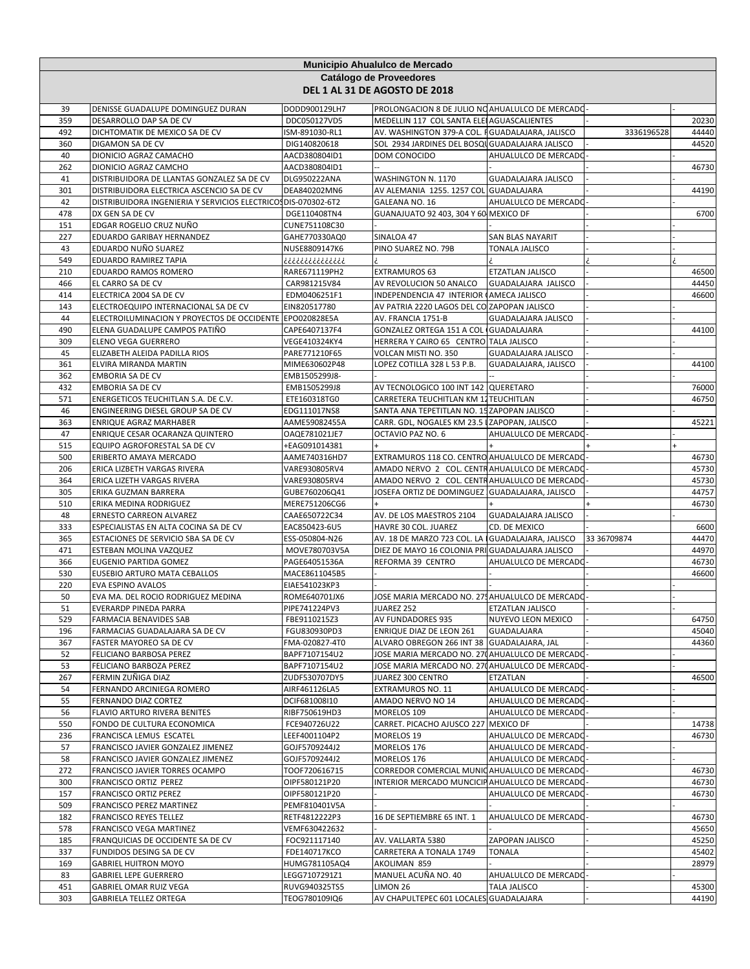| PROLONGACION 8 DE JULIO NO AHUALULCO DE MERCADO<br>39<br>DENISSE GUADALUPE DOMINGUEZ DURAN<br>DODD900129LH7<br>MEDELLIN 117 COL SANTA ELEI AGUASCALIENTES<br>359<br>DESARROLLO DAP SA DE CV<br>DDC050127VD5<br>492<br>DICHTOMATIK DE MEXICO SA DE CV<br>AV. WASHINGTON 379-A COL. FGUADALAJARA, JALISCO<br>ISM-891030-RL1<br>3336196528<br>360<br>DIGAMON SA DE CV<br>DIG140820618<br>SOL 2934 JARDINES DEL BOSQU GUADALAJARA JALISCO<br>40<br>DIONICIO AGRAZ CAMACHO<br>AACD380804ID1<br>DOM CONOCIDO<br>AHUALULCO DE MERCADO<br>262<br>DIONICIO AGRAZ CAMCHO<br>46730<br>AACD380804ID1<br>41<br>DISTRIBUIDORA DE LLANTAS GONZALEZ SA DE CV<br>WASHINGTON N. 1170<br>GUADALAJARA JALISCO<br>DLG950222ANA<br>AV ALEMANIA 1255. 1257 COL GUADALAJARA<br>44190<br>301<br>DISTRIBUIDORA ELECTRICA ASCENCIO SA DE CV<br>DEA840202MN6<br>42<br>DISTRIBUIDORA INGENIERIA Y SERVICIOS ELECTRICOS DIS-070302-6T2<br>GALEANA NO. 16<br>AHUALULCO DE MERCADO<br>GUANAJUATO 92 403, 304 Y 60 MEXICO DF<br>478<br>DX GEN SA DE CV<br>DGE110408TN4<br>EDGAR ROGELIO CRUZ NUÑO<br>151<br>CUNE751108C30<br>227<br>EDUARDO GARIBAY HERNANDEZ<br>SINALOA 47<br>GAHE770330AQ0<br>SAN BLAS NAYARIT<br>43<br>EDUARDO NUÑO SUAREZ<br>PINO SUAREZ NO. 79B<br>NUSE8809147K6<br>TONALA JALISCO<br>549<br>EDUARDO RAMIREZ TAPIA<br>ذذذذذذذذذذذذذذ<br><b>EXTRAMUROS 63</b><br>46500<br>210<br>EDUARDO RAMOS ROMERO<br>RARE671119PH2<br>ETZATLAN JALISCO<br>466<br>EL CARRO SA DE CV<br>CAR981215V84<br>AV REVOLUCION 50 ANALCO<br>GUADALAJARA JALISCO<br>44450<br>414<br>ELECTRICA 2004 SA DE CV<br>INDEPENDENCIA 47 INTERIOR (AMECA JALISCO<br>EDM0406251F1<br>ELECTROEQUIPO INTERNACIONAL SA DE CV<br>AV PATRIA 2220 LAGOS DEL CO ZAPOPAN JALISCO<br>143<br>EIN820517780<br>44<br>ELECTROILUMINACION Y PROYECTOS DE OCCIDENTE EPO020828E5A<br>AV. FRANCIA 1751-B<br>GUADALAJARA JALISCO<br>GONZALEZ ORTEGA 151 A COL GUADALAJARA<br>490<br>ELENA GUADALUPE CAMPOS PATIÑO<br>CAPE6407137F4<br>HERRERA Y CAIRO 65 CENTRO TALA JALISCO<br>309<br>ELENO VEGA GUERRERO<br>VEGE410324KY4<br>45<br>ELIZABETH ALEIDA PADILLA RIOS<br>VOLCAN MISTI NO. 350<br>GUADALAJARA JALISCO<br>PARE771210F65<br>361<br>LOPEZ COTILLA 328 L 53 P.B.<br>GUADALAJARA, JALISCO<br>44100<br>ELVIRA MIRANDA MARTIN<br>MIME630602P48<br>362<br>EMBORIA SA DE CV<br>EMB1505299J8-<br>432<br><b>EMBORIA SA DE CV</b><br>AV TECNOLOGICO 100 INT 142 QUERETARO<br>76000<br>EMB1505299J8<br>CARRETERA TEUCHITLAN KM 12 TEUCHITLAN<br>571<br>ENERGETICOS TEUCHITLAN S.A. DE C.V.<br>ETE160318TG0<br>46<br>ENGINEERING DIESEL GROUP SA DE CV<br>EDG111017NS8<br>SANTA ANA TEPETITLAN NO. 15 ZAPOPAN JALISCO<br>363<br>CARR. GDL, NOGALES KM 23.5 IZAPOPAN, JALISCO<br>ENRIQUE AGRAZ MARHABER<br>AAME59082455A<br>OCTAVIO PAZ NO. 6<br>47<br>ENRIQUE CESAR OCARANZA QUINTERO<br>OAQE781021JE7<br>AHUALULCO DE MERCADO<br>515<br>EQUIPO AGROFORESTAL SA DE CV<br>+EAG091014381<br>500<br>ERIBERTO AMAYA MERCADO<br>EXTRAMUROS 118 CO. CENTRO AHUALULCO DE MERCADO<br>46730<br>AAME740316HD7<br>AMADO NERVO 2 COL. CENTRAHUALULCO DE MERCADO<br>206<br>ERICA LIZBETH VARGAS RIVERA<br>VARE930805RV4<br>45730<br>AMADO NERVO 2 COL. CENTRAHUALULCO DE MERCADO<br>364<br>ERICA LIZETH VARGAS RIVERA<br>VARE930805RV4<br>45730<br>305<br>JOSEFA ORTIZ DE DOMINGUEZ GUADALAJARA, JALISCO<br>44757<br>ERIKA GUZMAN BARRERA<br>GUBE760206Q41<br>510<br>ERIKA MEDINA RODRIGUEZ<br>MERE751206CG6<br>48<br>AV. DE LOS MAESTROS 2104<br><b>GUADALAJARA JALISCO</b><br>ERNESTO CARREON ALVAREZ<br>CAAE650722C34<br>333<br>ESPECIALISTAS EN ALTA COCINA SA DE CV<br>HAVRE 30 COL. JUAREZ<br>CD. DE MEXICO<br>EAC850423-6U5<br>365<br>ESTACIONES DE SERVICIO SBA SA DE CV<br>AV. 18 DE MARZO 723 COL. LA GUADALAJARA, JALISCO<br>ESS-050804-N26<br>33 36709874<br>471<br>DIEZ DE MAYO 16 COLONIA PRI GUADALAJARA JALISCO<br>44970<br>ESTEBAN MOLINA VAZQUEZ<br>MOVE780703V5A<br>366<br>EUGENIO PARTIDA GOMEZ<br>REFORMA 39 CENTRO<br>AHUALULCO DE MERCADO<br>46730<br>PAGE64051536A<br>530<br>EUSEBIO ARTURO MATA CEBALLOS<br>46600<br>MACE8611045B5<br>220<br><b>EVA ESPINO AVALOS</b><br>EIAE541023KP3<br>50<br>JOSE MARIA MERCADO NO. 275 AHUALULCO DE MERCADO<br>EVA MA. DEL ROCIO RODRIGUEZ MEDINA<br>ROME640701JX6<br>PIPE741224PV3<br>JUAREZ 252<br><b>ETZATLAN JALISCO</b><br>51<br>EVERARDP PINEDA PARRA<br>529<br>AV FUNDADORES 935<br>NUYEVO LEON MEXICO<br>FARMACIA BENAVIDES SAB<br>FBE9110215Z3<br>196<br>FARMACIAS GUADALAJARA SA DE CV<br>FGU830930PD3<br>ENRIQUE DIAZ DE LEON 261<br><b>GUADALAJARA</b><br>ALVARO OBREGON 266 INT 38 GUADALAJARA, JAL<br>367<br>FASTER MAYOREO SA DE CV<br>FMA-020827-4T0<br>52<br>JOSE MARIA MERCADO NO. 270 AHUALULCO DE MERCADO<br>FELICIANO BARBOSA PEREZ<br>BAPF7107154U2<br>53<br>JOSE MARIA MERCADO NO. 270 AHUALULCO DE MERCADO<br>FELICIANO BARBOZA PEREZ<br>BAPF7107154U2<br>267<br>FERMIN ZUÑIGA DIAZ<br>46500<br>ZUDF530707DY5<br>JUAREZ 300 CENTRO<br>ETZATLAN<br>54<br>FERNANDO ARCINIEGA ROMERO<br>AIRF461126LA5<br>EXTRAMUROS NO. 11<br>AHUALULCO DE MERCADO<br>55<br>FERNANDO DIAZ CORTEZ<br>DCIF681008I10<br>AMADO NERVO NO 14<br>AHUALULCO DE MERCADO<br>56<br>FLAVIO ARTURO RIVERA BENITES<br>RIBF750619HD3<br>MORELOS 109<br>AHUALULCO DE MERCADO<br>550<br>FONDO DE CULTURA ECONOMICA<br>FCE940726U22<br>CARRET. PICACHO AJUSCO 227<br><b>MEXICO DF</b><br>236<br>FRANCISCA LEMUS ESCATEL<br>LEEF4001104P2<br>MORELOS 19<br>AHUALULCO DE MERCADO<br>57<br>FRANCISCO JAVIER GONZALEZ JIMENEZ<br>GOJF5709244J2<br>MORELOS 176<br>AHUALULCO DE MERCADO<br>58<br>FRANCISCO JAVIER GONZALEZ JIMENEZ<br>GOJF5709244J2<br>MORELOS 176<br>AHUALULCO DE MERCADO<br>FRANCISCO JAVIER TORRES OCAMPO<br>CORREDOR COMERCIAL MUNIC AHUALULCO DE MERCADO<br>272<br>TOOF720616715<br>46730<br>300<br>FRANCISCO ORTIZ PEREZ<br>INTERIOR MERCADO MUNCICIPAHUALULCO DE MERCADO<br>46730<br>OIPF580121P20<br>157<br>FRANCISCO ORTIZ PEREZ<br>OIPF580121P20<br>AHUALULCO DE MERCADO<br>509<br>FRANCISCO PEREZ MARTINEZ<br>PEMF810401V5A<br>182<br>FRANCISCO REYES TELLEZ<br>16 DE SEPTIEMBRE 65 INT. 1<br>AHUALULCO DE MERCADO<br>RETF4812222P3<br>578<br>FRANCISCO VEGA MARTINEZ<br>VEMF630422632<br>185<br>FRANQUICIAS DE OCCIDENTE SA DE CV<br>FOC921117140<br>AV. VALLARTA 5380<br>ZAPOPAN JALISCO<br>337<br>FUNDIDOS DESING SA DE CV<br>FDE140717KCO<br>CARRETERA A TONALA 1749<br><b>TONALA</b><br>45402<br>169<br><b>GABRIEL HUITRON MOYO</b><br>HUMG781105AQ4<br>AKOLIMAN 859<br>28979<br>83<br><b>GABRIEL LEPE GUERRERO</b><br>MANUEL ACUÑA NO. 40<br>LEGG7107291Z1<br>AHUALULCO DE MERCADO<br>451<br>GABRIEL OMAR RUIZ VEGA<br>RUVG940325TS5<br>LIMON 26<br>TALA JALISCO<br>45300<br>AV CHAPULTEPEC 601 LOCALES GUADALAJARA<br>303<br><b>GABRIELA TELLEZ ORTEGA</b><br>TEOG780109IQ6 | Municipio Ahualulco de Mercado<br>Catálogo de Proveedores<br>DEL 1 AL 31 DE AGOSTO DE 2018 |  |  |  |  |       |  |  |
|-------------------------------------------------------------------------------------------------------------------------------------------------------------------------------------------------------------------------------------------------------------------------------------------------------------------------------------------------------------------------------------------------------------------------------------------------------------------------------------------------------------------------------------------------------------------------------------------------------------------------------------------------------------------------------------------------------------------------------------------------------------------------------------------------------------------------------------------------------------------------------------------------------------------------------------------------------------------------------------------------------------------------------------------------------------------------------------------------------------------------------------------------------------------------------------------------------------------------------------------------------------------------------------------------------------------------------------------------------------------------------------------------------------------------------------------------------------------------------------------------------------------------------------------------------------------------------------------------------------------------------------------------------------------------------------------------------------------------------------------------------------------------------------------------------------------------------------------------------------------------------------------------------------------------------------------------------------------------------------------------------------------------------------------------------------------------------------------------------------------------------------------------------------------------------------------------------------------------------------------------------------------------------------------------------------------------------------------------------------------------------------------------------------------------------------------------------------------------------------------------------------------------------------------------------------------------------------------------------------------------------------------------------------------------------------------------------------------------------------------------------------------------------------------------------------------------------------------------------------------------------------------------------------------------------------------------------------------------------------------------------------------------------------------------------------------------------------------------------------------------------------------------------------------------------------------------------------------------------------------------------------------------------------------------------------------------------------------------------------------------------------------------------------------------------------------------------------------------------------------------------------------------------------------------------------------------------------------------------------------------------------------------------------------------------------------------------------------------------------------------------------------------------------------------------------------------------------------------------------------------------------------------------------------------------------------------------------------------------------------------------------------------------------------------------------------------------------------------------------------------------------------------------------------------------------------------------------------------------------------------------------------------------------------------------------------------------------------------------------------------------------------------------------------------------------------------------------------------------------------------------------------------------------------------------------------------------------------------------------------------------------------------------------------------------------------------------------------------------------------------------------------------------------------------------------------------------------------------------------------------------------------------------------------------------------------------------------------------------------------------------------------------------------------------------------------------------------------------------------------------------------------------------------------------------------------------------------------------------------------------------------------------------------------------------------------------------------------------------------------------------------------------------------------------------------------------------------------------------------------------------------------------------------------------------------------------------------------------------------------------------------------------------------------------------------------------------------------------------------------------------------------------------------------------------------------------------------------------------------------------------------------------------------------------------------------------------------------------------------------------------------------------------------------------------------------------------------------------------------------------------------------------------------------------------------------------------------------------------------------------------------------------------------------------------------------------------------------------------------------------------------------------------------------------------------------------------------------------------------------------------------------------------------------------------------------------------------------------------------------------------------------------------------------------------------------------------------------------------------------------------------------------|--------------------------------------------------------------------------------------------|--|--|--|--|-------|--|--|
|                                                                                                                                                                                                                                                                                                                                                                                                                                                                                                                                                                                                                                                                                                                                                                                                                                                                                                                                                                                                                                                                                                                                                                                                                                                                                                                                                                                                                                                                                                                                                                                                                                                                                                                                                                                                                                                                                                                                                                                                                                                                                                                                                                                                                                                                                                                                                                                                                                                                                                                                                                                                                                                                                                                                                                                                                                                                                                                                                                                                                                                                                                                                                                                                                                                                                                                                                                                                                                                                                                                                                                                                                                                                                                                                                                                                                                                                                                                                                                                                                                                                                                                                                                                                                                                                                                                                                                                                                                                                                                                                                                                                                                                                                                                                                                                                                                                                                                                                                                                                                                                                                                                                                                                                                                                                                                                                                                                                                                                                                                                                                                                                                                                                                                                                                                                                                                                                                                                                                                                                                                                                                                                                                                                                                                                                                                                                                                                                                                                                                                                                                                                                                                                                                                                                                                         |                                                                                            |  |  |  |  |       |  |  |
|                                                                                                                                                                                                                                                                                                                                                                                                                                                                                                                                                                                                                                                                                                                                                                                                                                                                                                                                                                                                                                                                                                                                                                                                                                                                                                                                                                                                                                                                                                                                                                                                                                                                                                                                                                                                                                                                                                                                                                                                                                                                                                                                                                                                                                                                                                                                                                                                                                                                                                                                                                                                                                                                                                                                                                                                                                                                                                                                                                                                                                                                                                                                                                                                                                                                                                                                                                                                                                                                                                                                                                                                                                                                                                                                                                                                                                                                                                                                                                                                                                                                                                                                                                                                                                                                                                                                                                                                                                                                                                                                                                                                                                                                                                                                                                                                                                                                                                                                                                                                                                                                                                                                                                                                                                                                                                                                                                                                                                                                                                                                                                                                                                                                                                                                                                                                                                                                                                                                                                                                                                                                                                                                                                                                                                                                                                                                                                                                                                                                                                                                                                                                                                                                                                                                                                         |                                                                                            |  |  |  |  | 20230 |  |  |
|                                                                                                                                                                                                                                                                                                                                                                                                                                                                                                                                                                                                                                                                                                                                                                                                                                                                                                                                                                                                                                                                                                                                                                                                                                                                                                                                                                                                                                                                                                                                                                                                                                                                                                                                                                                                                                                                                                                                                                                                                                                                                                                                                                                                                                                                                                                                                                                                                                                                                                                                                                                                                                                                                                                                                                                                                                                                                                                                                                                                                                                                                                                                                                                                                                                                                                                                                                                                                                                                                                                                                                                                                                                                                                                                                                                                                                                                                                                                                                                                                                                                                                                                                                                                                                                                                                                                                                                                                                                                                                                                                                                                                                                                                                                                                                                                                                                                                                                                                                                                                                                                                                                                                                                                                                                                                                                                                                                                                                                                                                                                                                                                                                                                                                                                                                                                                                                                                                                                                                                                                                                                                                                                                                                                                                                                                                                                                                                                                                                                                                                                                                                                                                                                                                                                                                         |                                                                                            |  |  |  |  | 44440 |  |  |
|                                                                                                                                                                                                                                                                                                                                                                                                                                                                                                                                                                                                                                                                                                                                                                                                                                                                                                                                                                                                                                                                                                                                                                                                                                                                                                                                                                                                                                                                                                                                                                                                                                                                                                                                                                                                                                                                                                                                                                                                                                                                                                                                                                                                                                                                                                                                                                                                                                                                                                                                                                                                                                                                                                                                                                                                                                                                                                                                                                                                                                                                                                                                                                                                                                                                                                                                                                                                                                                                                                                                                                                                                                                                                                                                                                                                                                                                                                                                                                                                                                                                                                                                                                                                                                                                                                                                                                                                                                                                                                                                                                                                                                                                                                                                                                                                                                                                                                                                                                                                                                                                                                                                                                                                                                                                                                                                                                                                                                                                                                                                                                                                                                                                                                                                                                                                                                                                                                                                                                                                                                                                                                                                                                                                                                                                                                                                                                                                                                                                                                                                                                                                                                                                                                                                                                         |                                                                                            |  |  |  |  | 44520 |  |  |
|                                                                                                                                                                                                                                                                                                                                                                                                                                                                                                                                                                                                                                                                                                                                                                                                                                                                                                                                                                                                                                                                                                                                                                                                                                                                                                                                                                                                                                                                                                                                                                                                                                                                                                                                                                                                                                                                                                                                                                                                                                                                                                                                                                                                                                                                                                                                                                                                                                                                                                                                                                                                                                                                                                                                                                                                                                                                                                                                                                                                                                                                                                                                                                                                                                                                                                                                                                                                                                                                                                                                                                                                                                                                                                                                                                                                                                                                                                                                                                                                                                                                                                                                                                                                                                                                                                                                                                                                                                                                                                                                                                                                                                                                                                                                                                                                                                                                                                                                                                                                                                                                                                                                                                                                                                                                                                                                                                                                                                                                                                                                                                                                                                                                                                                                                                                                                                                                                                                                                                                                                                                                                                                                                                                                                                                                                                                                                                                                                                                                                                                                                                                                                                                                                                                                                                         |                                                                                            |  |  |  |  |       |  |  |
|                                                                                                                                                                                                                                                                                                                                                                                                                                                                                                                                                                                                                                                                                                                                                                                                                                                                                                                                                                                                                                                                                                                                                                                                                                                                                                                                                                                                                                                                                                                                                                                                                                                                                                                                                                                                                                                                                                                                                                                                                                                                                                                                                                                                                                                                                                                                                                                                                                                                                                                                                                                                                                                                                                                                                                                                                                                                                                                                                                                                                                                                                                                                                                                                                                                                                                                                                                                                                                                                                                                                                                                                                                                                                                                                                                                                                                                                                                                                                                                                                                                                                                                                                                                                                                                                                                                                                                                                                                                                                                                                                                                                                                                                                                                                                                                                                                                                                                                                                                                                                                                                                                                                                                                                                                                                                                                                                                                                                                                                                                                                                                                                                                                                                                                                                                                                                                                                                                                                                                                                                                                                                                                                                                                                                                                                                                                                                                                                                                                                                                                                                                                                                                                                                                                                                                         |                                                                                            |  |  |  |  |       |  |  |
|                                                                                                                                                                                                                                                                                                                                                                                                                                                                                                                                                                                                                                                                                                                                                                                                                                                                                                                                                                                                                                                                                                                                                                                                                                                                                                                                                                                                                                                                                                                                                                                                                                                                                                                                                                                                                                                                                                                                                                                                                                                                                                                                                                                                                                                                                                                                                                                                                                                                                                                                                                                                                                                                                                                                                                                                                                                                                                                                                                                                                                                                                                                                                                                                                                                                                                                                                                                                                                                                                                                                                                                                                                                                                                                                                                                                                                                                                                                                                                                                                                                                                                                                                                                                                                                                                                                                                                                                                                                                                                                                                                                                                                                                                                                                                                                                                                                                                                                                                                                                                                                                                                                                                                                                                                                                                                                                                                                                                                                                                                                                                                                                                                                                                                                                                                                                                                                                                                                                                                                                                                                                                                                                                                                                                                                                                                                                                                                                                                                                                                                                                                                                                                                                                                                                                                         |                                                                                            |  |  |  |  |       |  |  |
|                                                                                                                                                                                                                                                                                                                                                                                                                                                                                                                                                                                                                                                                                                                                                                                                                                                                                                                                                                                                                                                                                                                                                                                                                                                                                                                                                                                                                                                                                                                                                                                                                                                                                                                                                                                                                                                                                                                                                                                                                                                                                                                                                                                                                                                                                                                                                                                                                                                                                                                                                                                                                                                                                                                                                                                                                                                                                                                                                                                                                                                                                                                                                                                                                                                                                                                                                                                                                                                                                                                                                                                                                                                                                                                                                                                                                                                                                                                                                                                                                                                                                                                                                                                                                                                                                                                                                                                                                                                                                                                                                                                                                                                                                                                                                                                                                                                                                                                                                                                                                                                                                                                                                                                                                                                                                                                                                                                                                                                                                                                                                                                                                                                                                                                                                                                                                                                                                                                                                                                                                                                                                                                                                                                                                                                                                                                                                                                                                                                                                                                                                                                                                                                                                                                                                                         |                                                                                            |  |  |  |  |       |  |  |
|                                                                                                                                                                                                                                                                                                                                                                                                                                                                                                                                                                                                                                                                                                                                                                                                                                                                                                                                                                                                                                                                                                                                                                                                                                                                                                                                                                                                                                                                                                                                                                                                                                                                                                                                                                                                                                                                                                                                                                                                                                                                                                                                                                                                                                                                                                                                                                                                                                                                                                                                                                                                                                                                                                                                                                                                                                                                                                                                                                                                                                                                                                                                                                                                                                                                                                                                                                                                                                                                                                                                                                                                                                                                                                                                                                                                                                                                                                                                                                                                                                                                                                                                                                                                                                                                                                                                                                                                                                                                                                                                                                                                                                                                                                                                                                                                                                                                                                                                                                                                                                                                                                                                                                                                                                                                                                                                                                                                                                                                                                                                                                                                                                                                                                                                                                                                                                                                                                                                                                                                                                                                                                                                                                                                                                                                                                                                                                                                                                                                                                                                                                                                                                                                                                                                                                         |                                                                                            |  |  |  |  | 6700  |  |  |
|                                                                                                                                                                                                                                                                                                                                                                                                                                                                                                                                                                                                                                                                                                                                                                                                                                                                                                                                                                                                                                                                                                                                                                                                                                                                                                                                                                                                                                                                                                                                                                                                                                                                                                                                                                                                                                                                                                                                                                                                                                                                                                                                                                                                                                                                                                                                                                                                                                                                                                                                                                                                                                                                                                                                                                                                                                                                                                                                                                                                                                                                                                                                                                                                                                                                                                                                                                                                                                                                                                                                                                                                                                                                                                                                                                                                                                                                                                                                                                                                                                                                                                                                                                                                                                                                                                                                                                                                                                                                                                                                                                                                                                                                                                                                                                                                                                                                                                                                                                                                                                                                                                                                                                                                                                                                                                                                                                                                                                                                                                                                                                                                                                                                                                                                                                                                                                                                                                                                                                                                                                                                                                                                                                                                                                                                                                                                                                                                                                                                                                                                                                                                                                                                                                                                                                         |                                                                                            |  |  |  |  |       |  |  |
|                                                                                                                                                                                                                                                                                                                                                                                                                                                                                                                                                                                                                                                                                                                                                                                                                                                                                                                                                                                                                                                                                                                                                                                                                                                                                                                                                                                                                                                                                                                                                                                                                                                                                                                                                                                                                                                                                                                                                                                                                                                                                                                                                                                                                                                                                                                                                                                                                                                                                                                                                                                                                                                                                                                                                                                                                                                                                                                                                                                                                                                                                                                                                                                                                                                                                                                                                                                                                                                                                                                                                                                                                                                                                                                                                                                                                                                                                                                                                                                                                                                                                                                                                                                                                                                                                                                                                                                                                                                                                                                                                                                                                                                                                                                                                                                                                                                                                                                                                                                                                                                                                                                                                                                                                                                                                                                                                                                                                                                                                                                                                                                                                                                                                                                                                                                                                                                                                                                                                                                                                                                                                                                                                                                                                                                                                                                                                                                                                                                                                                                                                                                                                                                                                                                                                                         |                                                                                            |  |  |  |  |       |  |  |
|                                                                                                                                                                                                                                                                                                                                                                                                                                                                                                                                                                                                                                                                                                                                                                                                                                                                                                                                                                                                                                                                                                                                                                                                                                                                                                                                                                                                                                                                                                                                                                                                                                                                                                                                                                                                                                                                                                                                                                                                                                                                                                                                                                                                                                                                                                                                                                                                                                                                                                                                                                                                                                                                                                                                                                                                                                                                                                                                                                                                                                                                                                                                                                                                                                                                                                                                                                                                                                                                                                                                                                                                                                                                                                                                                                                                                                                                                                                                                                                                                                                                                                                                                                                                                                                                                                                                                                                                                                                                                                                                                                                                                                                                                                                                                                                                                                                                                                                                                                                                                                                                                                                                                                                                                                                                                                                                                                                                                                                                                                                                                                                                                                                                                                                                                                                                                                                                                                                                                                                                                                                                                                                                                                                                                                                                                                                                                                                                                                                                                                                                                                                                                                                                                                                                                                         |                                                                                            |  |  |  |  |       |  |  |
|                                                                                                                                                                                                                                                                                                                                                                                                                                                                                                                                                                                                                                                                                                                                                                                                                                                                                                                                                                                                                                                                                                                                                                                                                                                                                                                                                                                                                                                                                                                                                                                                                                                                                                                                                                                                                                                                                                                                                                                                                                                                                                                                                                                                                                                                                                                                                                                                                                                                                                                                                                                                                                                                                                                                                                                                                                                                                                                                                                                                                                                                                                                                                                                                                                                                                                                                                                                                                                                                                                                                                                                                                                                                                                                                                                                                                                                                                                                                                                                                                                                                                                                                                                                                                                                                                                                                                                                                                                                                                                                                                                                                                                                                                                                                                                                                                                                                                                                                                                                                                                                                                                                                                                                                                                                                                                                                                                                                                                                                                                                                                                                                                                                                                                                                                                                                                                                                                                                                                                                                                                                                                                                                                                                                                                                                                                                                                                                                                                                                                                                                                                                                                                                                                                                                                                         |                                                                                            |  |  |  |  |       |  |  |
|                                                                                                                                                                                                                                                                                                                                                                                                                                                                                                                                                                                                                                                                                                                                                                                                                                                                                                                                                                                                                                                                                                                                                                                                                                                                                                                                                                                                                                                                                                                                                                                                                                                                                                                                                                                                                                                                                                                                                                                                                                                                                                                                                                                                                                                                                                                                                                                                                                                                                                                                                                                                                                                                                                                                                                                                                                                                                                                                                                                                                                                                                                                                                                                                                                                                                                                                                                                                                                                                                                                                                                                                                                                                                                                                                                                                                                                                                                                                                                                                                                                                                                                                                                                                                                                                                                                                                                                                                                                                                                                                                                                                                                                                                                                                                                                                                                                                                                                                                                                                                                                                                                                                                                                                                                                                                                                                                                                                                                                                                                                                                                                                                                                                                                                                                                                                                                                                                                                                                                                                                                                                                                                                                                                                                                                                                                                                                                                                                                                                                                                                                                                                                                                                                                                                                                         |                                                                                            |  |  |  |  |       |  |  |
|                                                                                                                                                                                                                                                                                                                                                                                                                                                                                                                                                                                                                                                                                                                                                                                                                                                                                                                                                                                                                                                                                                                                                                                                                                                                                                                                                                                                                                                                                                                                                                                                                                                                                                                                                                                                                                                                                                                                                                                                                                                                                                                                                                                                                                                                                                                                                                                                                                                                                                                                                                                                                                                                                                                                                                                                                                                                                                                                                                                                                                                                                                                                                                                                                                                                                                                                                                                                                                                                                                                                                                                                                                                                                                                                                                                                                                                                                                                                                                                                                                                                                                                                                                                                                                                                                                                                                                                                                                                                                                                                                                                                                                                                                                                                                                                                                                                                                                                                                                                                                                                                                                                                                                                                                                                                                                                                                                                                                                                                                                                                                                                                                                                                                                                                                                                                                                                                                                                                                                                                                                                                                                                                                                                                                                                                                                                                                                                                                                                                                                                                                                                                                                                                                                                                                                         |                                                                                            |  |  |  |  | 46600 |  |  |
|                                                                                                                                                                                                                                                                                                                                                                                                                                                                                                                                                                                                                                                                                                                                                                                                                                                                                                                                                                                                                                                                                                                                                                                                                                                                                                                                                                                                                                                                                                                                                                                                                                                                                                                                                                                                                                                                                                                                                                                                                                                                                                                                                                                                                                                                                                                                                                                                                                                                                                                                                                                                                                                                                                                                                                                                                                                                                                                                                                                                                                                                                                                                                                                                                                                                                                                                                                                                                                                                                                                                                                                                                                                                                                                                                                                                                                                                                                                                                                                                                                                                                                                                                                                                                                                                                                                                                                                                                                                                                                                                                                                                                                                                                                                                                                                                                                                                                                                                                                                                                                                                                                                                                                                                                                                                                                                                                                                                                                                                                                                                                                                                                                                                                                                                                                                                                                                                                                                                                                                                                                                                                                                                                                                                                                                                                                                                                                                                                                                                                                                                                                                                                                                                                                                                                                         |                                                                                            |  |  |  |  |       |  |  |
|                                                                                                                                                                                                                                                                                                                                                                                                                                                                                                                                                                                                                                                                                                                                                                                                                                                                                                                                                                                                                                                                                                                                                                                                                                                                                                                                                                                                                                                                                                                                                                                                                                                                                                                                                                                                                                                                                                                                                                                                                                                                                                                                                                                                                                                                                                                                                                                                                                                                                                                                                                                                                                                                                                                                                                                                                                                                                                                                                                                                                                                                                                                                                                                                                                                                                                                                                                                                                                                                                                                                                                                                                                                                                                                                                                                                                                                                                                                                                                                                                                                                                                                                                                                                                                                                                                                                                                                                                                                                                                                                                                                                                                                                                                                                                                                                                                                                                                                                                                                                                                                                                                                                                                                                                                                                                                                                                                                                                                                                                                                                                                                                                                                                                                                                                                                                                                                                                                                                                                                                                                                                                                                                                                                                                                                                                                                                                                                                                                                                                                                                                                                                                                                                                                                                                                         |                                                                                            |  |  |  |  |       |  |  |
|                                                                                                                                                                                                                                                                                                                                                                                                                                                                                                                                                                                                                                                                                                                                                                                                                                                                                                                                                                                                                                                                                                                                                                                                                                                                                                                                                                                                                                                                                                                                                                                                                                                                                                                                                                                                                                                                                                                                                                                                                                                                                                                                                                                                                                                                                                                                                                                                                                                                                                                                                                                                                                                                                                                                                                                                                                                                                                                                                                                                                                                                                                                                                                                                                                                                                                                                                                                                                                                                                                                                                                                                                                                                                                                                                                                                                                                                                                                                                                                                                                                                                                                                                                                                                                                                                                                                                                                                                                                                                                                                                                                                                                                                                                                                                                                                                                                                                                                                                                                                                                                                                                                                                                                                                                                                                                                                                                                                                                                                                                                                                                                                                                                                                                                                                                                                                                                                                                                                                                                                                                                                                                                                                                                                                                                                                                                                                                                                                                                                                                                                                                                                                                                                                                                                                                         |                                                                                            |  |  |  |  | 44100 |  |  |
|                                                                                                                                                                                                                                                                                                                                                                                                                                                                                                                                                                                                                                                                                                                                                                                                                                                                                                                                                                                                                                                                                                                                                                                                                                                                                                                                                                                                                                                                                                                                                                                                                                                                                                                                                                                                                                                                                                                                                                                                                                                                                                                                                                                                                                                                                                                                                                                                                                                                                                                                                                                                                                                                                                                                                                                                                                                                                                                                                                                                                                                                                                                                                                                                                                                                                                                                                                                                                                                                                                                                                                                                                                                                                                                                                                                                                                                                                                                                                                                                                                                                                                                                                                                                                                                                                                                                                                                                                                                                                                                                                                                                                                                                                                                                                                                                                                                                                                                                                                                                                                                                                                                                                                                                                                                                                                                                                                                                                                                                                                                                                                                                                                                                                                                                                                                                                                                                                                                                                                                                                                                                                                                                                                                                                                                                                                                                                                                                                                                                                                                                                                                                                                                                                                                                                                         |                                                                                            |  |  |  |  |       |  |  |
|                                                                                                                                                                                                                                                                                                                                                                                                                                                                                                                                                                                                                                                                                                                                                                                                                                                                                                                                                                                                                                                                                                                                                                                                                                                                                                                                                                                                                                                                                                                                                                                                                                                                                                                                                                                                                                                                                                                                                                                                                                                                                                                                                                                                                                                                                                                                                                                                                                                                                                                                                                                                                                                                                                                                                                                                                                                                                                                                                                                                                                                                                                                                                                                                                                                                                                                                                                                                                                                                                                                                                                                                                                                                                                                                                                                                                                                                                                                                                                                                                                                                                                                                                                                                                                                                                                                                                                                                                                                                                                                                                                                                                                                                                                                                                                                                                                                                                                                                                                                                                                                                                                                                                                                                                                                                                                                                                                                                                                                                                                                                                                                                                                                                                                                                                                                                                                                                                                                                                                                                                                                                                                                                                                                                                                                                                                                                                                                                                                                                                                                                                                                                                                                                                                                                                                         |                                                                                            |  |  |  |  |       |  |  |
|                                                                                                                                                                                                                                                                                                                                                                                                                                                                                                                                                                                                                                                                                                                                                                                                                                                                                                                                                                                                                                                                                                                                                                                                                                                                                                                                                                                                                                                                                                                                                                                                                                                                                                                                                                                                                                                                                                                                                                                                                                                                                                                                                                                                                                                                                                                                                                                                                                                                                                                                                                                                                                                                                                                                                                                                                                                                                                                                                                                                                                                                                                                                                                                                                                                                                                                                                                                                                                                                                                                                                                                                                                                                                                                                                                                                                                                                                                                                                                                                                                                                                                                                                                                                                                                                                                                                                                                                                                                                                                                                                                                                                                                                                                                                                                                                                                                                                                                                                                                                                                                                                                                                                                                                                                                                                                                                                                                                                                                                                                                                                                                                                                                                                                                                                                                                                                                                                                                                                                                                                                                                                                                                                                                                                                                                                                                                                                                                                                                                                                                                                                                                                                                                                                                                                                         |                                                                                            |  |  |  |  |       |  |  |
|                                                                                                                                                                                                                                                                                                                                                                                                                                                                                                                                                                                                                                                                                                                                                                                                                                                                                                                                                                                                                                                                                                                                                                                                                                                                                                                                                                                                                                                                                                                                                                                                                                                                                                                                                                                                                                                                                                                                                                                                                                                                                                                                                                                                                                                                                                                                                                                                                                                                                                                                                                                                                                                                                                                                                                                                                                                                                                                                                                                                                                                                                                                                                                                                                                                                                                                                                                                                                                                                                                                                                                                                                                                                                                                                                                                                                                                                                                                                                                                                                                                                                                                                                                                                                                                                                                                                                                                                                                                                                                                                                                                                                                                                                                                                                                                                                                                                                                                                                                                                                                                                                                                                                                                                                                                                                                                                                                                                                                                                                                                                                                                                                                                                                                                                                                                                                                                                                                                                                                                                                                                                                                                                                                                                                                                                                                                                                                                                                                                                                                                                                                                                                                                                                                                                                                         |                                                                                            |  |  |  |  |       |  |  |
|                                                                                                                                                                                                                                                                                                                                                                                                                                                                                                                                                                                                                                                                                                                                                                                                                                                                                                                                                                                                                                                                                                                                                                                                                                                                                                                                                                                                                                                                                                                                                                                                                                                                                                                                                                                                                                                                                                                                                                                                                                                                                                                                                                                                                                                                                                                                                                                                                                                                                                                                                                                                                                                                                                                                                                                                                                                                                                                                                                                                                                                                                                                                                                                                                                                                                                                                                                                                                                                                                                                                                                                                                                                                                                                                                                                                                                                                                                                                                                                                                                                                                                                                                                                                                                                                                                                                                                                                                                                                                                                                                                                                                                                                                                                                                                                                                                                                                                                                                                                                                                                                                                                                                                                                                                                                                                                                                                                                                                                                                                                                                                                                                                                                                                                                                                                                                                                                                                                                                                                                                                                                                                                                                                                                                                                                                                                                                                                                                                                                                                                                                                                                                                                                                                                                                                         |                                                                                            |  |  |  |  | 46750 |  |  |
|                                                                                                                                                                                                                                                                                                                                                                                                                                                                                                                                                                                                                                                                                                                                                                                                                                                                                                                                                                                                                                                                                                                                                                                                                                                                                                                                                                                                                                                                                                                                                                                                                                                                                                                                                                                                                                                                                                                                                                                                                                                                                                                                                                                                                                                                                                                                                                                                                                                                                                                                                                                                                                                                                                                                                                                                                                                                                                                                                                                                                                                                                                                                                                                                                                                                                                                                                                                                                                                                                                                                                                                                                                                                                                                                                                                                                                                                                                                                                                                                                                                                                                                                                                                                                                                                                                                                                                                                                                                                                                                                                                                                                                                                                                                                                                                                                                                                                                                                                                                                                                                                                                                                                                                                                                                                                                                                                                                                                                                                                                                                                                                                                                                                                                                                                                                                                                                                                                                                                                                                                                                                                                                                                                                                                                                                                                                                                                                                                                                                                                                                                                                                                                                                                                                                                                         |                                                                                            |  |  |  |  |       |  |  |
|                                                                                                                                                                                                                                                                                                                                                                                                                                                                                                                                                                                                                                                                                                                                                                                                                                                                                                                                                                                                                                                                                                                                                                                                                                                                                                                                                                                                                                                                                                                                                                                                                                                                                                                                                                                                                                                                                                                                                                                                                                                                                                                                                                                                                                                                                                                                                                                                                                                                                                                                                                                                                                                                                                                                                                                                                                                                                                                                                                                                                                                                                                                                                                                                                                                                                                                                                                                                                                                                                                                                                                                                                                                                                                                                                                                                                                                                                                                                                                                                                                                                                                                                                                                                                                                                                                                                                                                                                                                                                                                                                                                                                                                                                                                                                                                                                                                                                                                                                                                                                                                                                                                                                                                                                                                                                                                                                                                                                                                                                                                                                                                                                                                                                                                                                                                                                                                                                                                                                                                                                                                                                                                                                                                                                                                                                                                                                                                                                                                                                                                                                                                                                                                                                                                                                                         |                                                                                            |  |  |  |  | 45221 |  |  |
|                                                                                                                                                                                                                                                                                                                                                                                                                                                                                                                                                                                                                                                                                                                                                                                                                                                                                                                                                                                                                                                                                                                                                                                                                                                                                                                                                                                                                                                                                                                                                                                                                                                                                                                                                                                                                                                                                                                                                                                                                                                                                                                                                                                                                                                                                                                                                                                                                                                                                                                                                                                                                                                                                                                                                                                                                                                                                                                                                                                                                                                                                                                                                                                                                                                                                                                                                                                                                                                                                                                                                                                                                                                                                                                                                                                                                                                                                                                                                                                                                                                                                                                                                                                                                                                                                                                                                                                                                                                                                                                                                                                                                                                                                                                                                                                                                                                                                                                                                                                                                                                                                                                                                                                                                                                                                                                                                                                                                                                                                                                                                                                                                                                                                                                                                                                                                                                                                                                                                                                                                                                                                                                                                                                                                                                                                                                                                                                                                                                                                                                                                                                                                                                                                                                                                                         |                                                                                            |  |  |  |  |       |  |  |
|                                                                                                                                                                                                                                                                                                                                                                                                                                                                                                                                                                                                                                                                                                                                                                                                                                                                                                                                                                                                                                                                                                                                                                                                                                                                                                                                                                                                                                                                                                                                                                                                                                                                                                                                                                                                                                                                                                                                                                                                                                                                                                                                                                                                                                                                                                                                                                                                                                                                                                                                                                                                                                                                                                                                                                                                                                                                                                                                                                                                                                                                                                                                                                                                                                                                                                                                                                                                                                                                                                                                                                                                                                                                                                                                                                                                                                                                                                                                                                                                                                                                                                                                                                                                                                                                                                                                                                                                                                                                                                                                                                                                                                                                                                                                                                                                                                                                                                                                                                                                                                                                                                                                                                                                                                                                                                                                                                                                                                                                                                                                                                                                                                                                                                                                                                                                                                                                                                                                                                                                                                                                                                                                                                                                                                                                                                                                                                                                                                                                                                                                                                                                                                                                                                                                                                         |                                                                                            |  |  |  |  |       |  |  |
|                                                                                                                                                                                                                                                                                                                                                                                                                                                                                                                                                                                                                                                                                                                                                                                                                                                                                                                                                                                                                                                                                                                                                                                                                                                                                                                                                                                                                                                                                                                                                                                                                                                                                                                                                                                                                                                                                                                                                                                                                                                                                                                                                                                                                                                                                                                                                                                                                                                                                                                                                                                                                                                                                                                                                                                                                                                                                                                                                                                                                                                                                                                                                                                                                                                                                                                                                                                                                                                                                                                                                                                                                                                                                                                                                                                                                                                                                                                                                                                                                                                                                                                                                                                                                                                                                                                                                                                                                                                                                                                                                                                                                                                                                                                                                                                                                                                                                                                                                                                                                                                                                                                                                                                                                                                                                                                                                                                                                                                                                                                                                                                                                                                                                                                                                                                                                                                                                                                                                                                                                                                                                                                                                                                                                                                                                                                                                                                                                                                                                                                                                                                                                                                                                                                                                                         |                                                                                            |  |  |  |  |       |  |  |
|                                                                                                                                                                                                                                                                                                                                                                                                                                                                                                                                                                                                                                                                                                                                                                                                                                                                                                                                                                                                                                                                                                                                                                                                                                                                                                                                                                                                                                                                                                                                                                                                                                                                                                                                                                                                                                                                                                                                                                                                                                                                                                                                                                                                                                                                                                                                                                                                                                                                                                                                                                                                                                                                                                                                                                                                                                                                                                                                                                                                                                                                                                                                                                                                                                                                                                                                                                                                                                                                                                                                                                                                                                                                                                                                                                                                                                                                                                                                                                                                                                                                                                                                                                                                                                                                                                                                                                                                                                                                                                                                                                                                                                                                                                                                                                                                                                                                                                                                                                                                                                                                                                                                                                                                                                                                                                                                                                                                                                                                                                                                                                                                                                                                                                                                                                                                                                                                                                                                                                                                                                                                                                                                                                                                                                                                                                                                                                                                                                                                                                                                                                                                                                                                                                                                                                         |                                                                                            |  |  |  |  |       |  |  |
|                                                                                                                                                                                                                                                                                                                                                                                                                                                                                                                                                                                                                                                                                                                                                                                                                                                                                                                                                                                                                                                                                                                                                                                                                                                                                                                                                                                                                                                                                                                                                                                                                                                                                                                                                                                                                                                                                                                                                                                                                                                                                                                                                                                                                                                                                                                                                                                                                                                                                                                                                                                                                                                                                                                                                                                                                                                                                                                                                                                                                                                                                                                                                                                                                                                                                                                                                                                                                                                                                                                                                                                                                                                                                                                                                                                                                                                                                                                                                                                                                                                                                                                                                                                                                                                                                                                                                                                                                                                                                                                                                                                                                                                                                                                                                                                                                                                                                                                                                                                                                                                                                                                                                                                                                                                                                                                                                                                                                                                                                                                                                                                                                                                                                                                                                                                                                                                                                                                                                                                                                                                                                                                                                                                                                                                                                                                                                                                                                                                                                                                                                                                                                                                                                                                                                                         |                                                                                            |  |  |  |  |       |  |  |
|                                                                                                                                                                                                                                                                                                                                                                                                                                                                                                                                                                                                                                                                                                                                                                                                                                                                                                                                                                                                                                                                                                                                                                                                                                                                                                                                                                                                                                                                                                                                                                                                                                                                                                                                                                                                                                                                                                                                                                                                                                                                                                                                                                                                                                                                                                                                                                                                                                                                                                                                                                                                                                                                                                                                                                                                                                                                                                                                                                                                                                                                                                                                                                                                                                                                                                                                                                                                                                                                                                                                                                                                                                                                                                                                                                                                                                                                                                                                                                                                                                                                                                                                                                                                                                                                                                                                                                                                                                                                                                                                                                                                                                                                                                                                                                                                                                                                                                                                                                                                                                                                                                                                                                                                                                                                                                                                                                                                                                                                                                                                                                                                                                                                                                                                                                                                                                                                                                                                                                                                                                                                                                                                                                                                                                                                                                                                                                                                                                                                                                                                                                                                                                                                                                                                                                         |                                                                                            |  |  |  |  | 46730 |  |  |
|                                                                                                                                                                                                                                                                                                                                                                                                                                                                                                                                                                                                                                                                                                                                                                                                                                                                                                                                                                                                                                                                                                                                                                                                                                                                                                                                                                                                                                                                                                                                                                                                                                                                                                                                                                                                                                                                                                                                                                                                                                                                                                                                                                                                                                                                                                                                                                                                                                                                                                                                                                                                                                                                                                                                                                                                                                                                                                                                                                                                                                                                                                                                                                                                                                                                                                                                                                                                                                                                                                                                                                                                                                                                                                                                                                                                                                                                                                                                                                                                                                                                                                                                                                                                                                                                                                                                                                                                                                                                                                                                                                                                                                                                                                                                                                                                                                                                                                                                                                                                                                                                                                                                                                                                                                                                                                                                                                                                                                                                                                                                                                                                                                                                                                                                                                                                                                                                                                                                                                                                                                                                                                                                                                                                                                                                                                                                                                                                                                                                                                                                                                                                                                                                                                                                                                         |                                                                                            |  |  |  |  |       |  |  |
|                                                                                                                                                                                                                                                                                                                                                                                                                                                                                                                                                                                                                                                                                                                                                                                                                                                                                                                                                                                                                                                                                                                                                                                                                                                                                                                                                                                                                                                                                                                                                                                                                                                                                                                                                                                                                                                                                                                                                                                                                                                                                                                                                                                                                                                                                                                                                                                                                                                                                                                                                                                                                                                                                                                                                                                                                                                                                                                                                                                                                                                                                                                                                                                                                                                                                                                                                                                                                                                                                                                                                                                                                                                                                                                                                                                                                                                                                                                                                                                                                                                                                                                                                                                                                                                                                                                                                                                                                                                                                                                                                                                                                                                                                                                                                                                                                                                                                                                                                                                                                                                                                                                                                                                                                                                                                                                                                                                                                                                                                                                                                                                                                                                                                                                                                                                                                                                                                                                                                                                                                                                                                                                                                                                                                                                                                                                                                                                                                                                                                                                                                                                                                                                                                                                                                                         |                                                                                            |  |  |  |  | 6600  |  |  |
|                                                                                                                                                                                                                                                                                                                                                                                                                                                                                                                                                                                                                                                                                                                                                                                                                                                                                                                                                                                                                                                                                                                                                                                                                                                                                                                                                                                                                                                                                                                                                                                                                                                                                                                                                                                                                                                                                                                                                                                                                                                                                                                                                                                                                                                                                                                                                                                                                                                                                                                                                                                                                                                                                                                                                                                                                                                                                                                                                                                                                                                                                                                                                                                                                                                                                                                                                                                                                                                                                                                                                                                                                                                                                                                                                                                                                                                                                                                                                                                                                                                                                                                                                                                                                                                                                                                                                                                                                                                                                                                                                                                                                                                                                                                                                                                                                                                                                                                                                                                                                                                                                                                                                                                                                                                                                                                                                                                                                                                                                                                                                                                                                                                                                                                                                                                                                                                                                                                                                                                                                                                                                                                                                                                                                                                                                                                                                                                                                                                                                                                                                                                                                                                                                                                                                                         |                                                                                            |  |  |  |  | 44470 |  |  |
|                                                                                                                                                                                                                                                                                                                                                                                                                                                                                                                                                                                                                                                                                                                                                                                                                                                                                                                                                                                                                                                                                                                                                                                                                                                                                                                                                                                                                                                                                                                                                                                                                                                                                                                                                                                                                                                                                                                                                                                                                                                                                                                                                                                                                                                                                                                                                                                                                                                                                                                                                                                                                                                                                                                                                                                                                                                                                                                                                                                                                                                                                                                                                                                                                                                                                                                                                                                                                                                                                                                                                                                                                                                                                                                                                                                                                                                                                                                                                                                                                                                                                                                                                                                                                                                                                                                                                                                                                                                                                                                                                                                                                                                                                                                                                                                                                                                                                                                                                                                                                                                                                                                                                                                                                                                                                                                                                                                                                                                                                                                                                                                                                                                                                                                                                                                                                                                                                                                                                                                                                                                                                                                                                                                                                                                                                                                                                                                                                                                                                                                                                                                                                                                                                                                                                                         |                                                                                            |  |  |  |  |       |  |  |
|                                                                                                                                                                                                                                                                                                                                                                                                                                                                                                                                                                                                                                                                                                                                                                                                                                                                                                                                                                                                                                                                                                                                                                                                                                                                                                                                                                                                                                                                                                                                                                                                                                                                                                                                                                                                                                                                                                                                                                                                                                                                                                                                                                                                                                                                                                                                                                                                                                                                                                                                                                                                                                                                                                                                                                                                                                                                                                                                                                                                                                                                                                                                                                                                                                                                                                                                                                                                                                                                                                                                                                                                                                                                                                                                                                                                                                                                                                                                                                                                                                                                                                                                                                                                                                                                                                                                                                                                                                                                                                                                                                                                                                                                                                                                                                                                                                                                                                                                                                                                                                                                                                                                                                                                                                                                                                                                                                                                                                                                                                                                                                                                                                                                                                                                                                                                                                                                                                                                                                                                                                                                                                                                                                                                                                                                                                                                                                                                                                                                                                                                                                                                                                                                                                                                                                         |                                                                                            |  |  |  |  |       |  |  |
|                                                                                                                                                                                                                                                                                                                                                                                                                                                                                                                                                                                                                                                                                                                                                                                                                                                                                                                                                                                                                                                                                                                                                                                                                                                                                                                                                                                                                                                                                                                                                                                                                                                                                                                                                                                                                                                                                                                                                                                                                                                                                                                                                                                                                                                                                                                                                                                                                                                                                                                                                                                                                                                                                                                                                                                                                                                                                                                                                                                                                                                                                                                                                                                                                                                                                                                                                                                                                                                                                                                                                                                                                                                                                                                                                                                                                                                                                                                                                                                                                                                                                                                                                                                                                                                                                                                                                                                                                                                                                                                                                                                                                                                                                                                                                                                                                                                                                                                                                                                                                                                                                                                                                                                                                                                                                                                                                                                                                                                                                                                                                                                                                                                                                                                                                                                                                                                                                                                                                                                                                                                                                                                                                                                                                                                                                                                                                                                                                                                                                                                                                                                                                                                                                                                                                                         |                                                                                            |  |  |  |  |       |  |  |
|                                                                                                                                                                                                                                                                                                                                                                                                                                                                                                                                                                                                                                                                                                                                                                                                                                                                                                                                                                                                                                                                                                                                                                                                                                                                                                                                                                                                                                                                                                                                                                                                                                                                                                                                                                                                                                                                                                                                                                                                                                                                                                                                                                                                                                                                                                                                                                                                                                                                                                                                                                                                                                                                                                                                                                                                                                                                                                                                                                                                                                                                                                                                                                                                                                                                                                                                                                                                                                                                                                                                                                                                                                                                                                                                                                                                                                                                                                                                                                                                                                                                                                                                                                                                                                                                                                                                                                                                                                                                                                                                                                                                                                                                                                                                                                                                                                                                                                                                                                                                                                                                                                                                                                                                                                                                                                                                                                                                                                                                                                                                                                                                                                                                                                                                                                                                                                                                                                                                                                                                                                                                                                                                                                                                                                                                                                                                                                                                                                                                                                                                                                                                                                                                                                                                                                         |                                                                                            |  |  |  |  |       |  |  |
|                                                                                                                                                                                                                                                                                                                                                                                                                                                                                                                                                                                                                                                                                                                                                                                                                                                                                                                                                                                                                                                                                                                                                                                                                                                                                                                                                                                                                                                                                                                                                                                                                                                                                                                                                                                                                                                                                                                                                                                                                                                                                                                                                                                                                                                                                                                                                                                                                                                                                                                                                                                                                                                                                                                                                                                                                                                                                                                                                                                                                                                                                                                                                                                                                                                                                                                                                                                                                                                                                                                                                                                                                                                                                                                                                                                                                                                                                                                                                                                                                                                                                                                                                                                                                                                                                                                                                                                                                                                                                                                                                                                                                                                                                                                                                                                                                                                                                                                                                                                                                                                                                                                                                                                                                                                                                                                                                                                                                                                                                                                                                                                                                                                                                                                                                                                                                                                                                                                                                                                                                                                                                                                                                                                                                                                                                                                                                                                                                                                                                                                                                                                                                                                                                                                                                                         |                                                                                            |  |  |  |  |       |  |  |
|                                                                                                                                                                                                                                                                                                                                                                                                                                                                                                                                                                                                                                                                                                                                                                                                                                                                                                                                                                                                                                                                                                                                                                                                                                                                                                                                                                                                                                                                                                                                                                                                                                                                                                                                                                                                                                                                                                                                                                                                                                                                                                                                                                                                                                                                                                                                                                                                                                                                                                                                                                                                                                                                                                                                                                                                                                                                                                                                                                                                                                                                                                                                                                                                                                                                                                                                                                                                                                                                                                                                                                                                                                                                                                                                                                                                                                                                                                                                                                                                                                                                                                                                                                                                                                                                                                                                                                                                                                                                                                                                                                                                                                                                                                                                                                                                                                                                                                                                                                                                                                                                                                                                                                                                                                                                                                                                                                                                                                                                                                                                                                                                                                                                                                                                                                                                                                                                                                                                                                                                                                                                                                                                                                                                                                                                                                                                                                                                                                                                                                                                                                                                                                                                                                                                                                         |                                                                                            |  |  |  |  | 64750 |  |  |
|                                                                                                                                                                                                                                                                                                                                                                                                                                                                                                                                                                                                                                                                                                                                                                                                                                                                                                                                                                                                                                                                                                                                                                                                                                                                                                                                                                                                                                                                                                                                                                                                                                                                                                                                                                                                                                                                                                                                                                                                                                                                                                                                                                                                                                                                                                                                                                                                                                                                                                                                                                                                                                                                                                                                                                                                                                                                                                                                                                                                                                                                                                                                                                                                                                                                                                                                                                                                                                                                                                                                                                                                                                                                                                                                                                                                                                                                                                                                                                                                                                                                                                                                                                                                                                                                                                                                                                                                                                                                                                                                                                                                                                                                                                                                                                                                                                                                                                                                                                                                                                                                                                                                                                                                                                                                                                                                                                                                                                                                                                                                                                                                                                                                                                                                                                                                                                                                                                                                                                                                                                                                                                                                                                                                                                                                                                                                                                                                                                                                                                                                                                                                                                                                                                                                                                         |                                                                                            |  |  |  |  | 45040 |  |  |
|                                                                                                                                                                                                                                                                                                                                                                                                                                                                                                                                                                                                                                                                                                                                                                                                                                                                                                                                                                                                                                                                                                                                                                                                                                                                                                                                                                                                                                                                                                                                                                                                                                                                                                                                                                                                                                                                                                                                                                                                                                                                                                                                                                                                                                                                                                                                                                                                                                                                                                                                                                                                                                                                                                                                                                                                                                                                                                                                                                                                                                                                                                                                                                                                                                                                                                                                                                                                                                                                                                                                                                                                                                                                                                                                                                                                                                                                                                                                                                                                                                                                                                                                                                                                                                                                                                                                                                                                                                                                                                                                                                                                                                                                                                                                                                                                                                                                                                                                                                                                                                                                                                                                                                                                                                                                                                                                                                                                                                                                                                                                                                                                                                                                                                                                                                                                                                                                                                                                                                                                                                                                                                                                                                                                                                                                                                                                                                                                                                                                                                                                                                                                                                                                                                                                                                         |                                                                                            |  |  |  |  | 44360 |  |  |
|                                                                                                                                                                                                                                                                                                                                                                                                                                                                                                                                                                                                                                                                                                                                                                                                                                                                                                                                                                                                                                                                                                                                                                                                                                                                                                                                                                                                                                                                                                                                                                                                                                                                                                                                                                                                                                                                                                                                                                                                                                                                                                                                                                                                                                                                                                                                                                                                                                                                                                                                                                                                                                                                                                                                                                                                                                                                                                                                                                                                                                                                                                                                                                                                                                                                                                                                                                                                                                                                                                                                                                                                                                                                                                                                                                                                                                                                                                                                                                                                                                                                                                                                                                                                                                                                                                                                                                                                                                                                                                                                                                                                                                                                                                                                                                                                                                                                                                                                                                                                                                                                                                                                                                                                                                                                                                                                                                                                                                                                                                                                                                                                                                                                                                                                                                                                                                                                                                                                                                                                                                                                                                                                                                                                                                                                                                                                                                                                                                                                                                                                                                                                                                                                                                                                                                         |                                                                                            |  |  |  |  |       |  |  |
|                                                                                                                                                                                                                                                                                                                                                                                                                                                                                                                                                                                                                                                                                                                                                                                                                                                                                                                                                                                                                                                                                                                                                                                                                                                                                                                                                                                                                                                                                                                                                                                                                                                                                                                                                                                                                                                                                                                                                                                                                                                                                                                                                                                                                                                                                                                                                                                                                                                                                                                                                                                                                                                                                                                                                                                                                                                                                                                                                                                                                                                                                                                                                                                                                                                                                                                                                                                                                                                                                                                                                                                                                                                                                                                                                                                                                                                                                                                                                                                                                                                                                                                                                                                                                                                                                                                                                                                                                                                                                                                                                                                                                                                                                                                                                                                                                                                                                                                                                                                                                                                                                                                                                                                                                                                                                                                                                                                                                                                                                                                                                                                                                                                                                                                                                                                                                                                                                                                                                                                                                                                                                                                                                                                                                                                                                                                                                                                                                                                                                                                                                                                                                                                                                                                                                                         |                                                                                            |  |  |  |  |       |  |  |
|                                                                                                                                                                                                                                                                                                                                                                                                                                                                                                                                                                                                                                                                                                                                                                                                                                                                                                                                                                                                                                                                                                                                                                                                                                                                                                                                                                                                                                                                                                                                                                                                                                                                                                                                                                                                                                                                                                                                                                                                                                                                                                                                                                                                                                                                                                                                                                                                                                                                                                                                                                                                                                                                                                                                                                                                                                                                                                                                                                                                                                                                                                                                                                                                                                                                                                                                                                                                                                                                                                                                                                                                                                                                                                                                                                                                                                                                                                                                                                                                                                                                                                                                                                                                                                                                                                                                                                                                                                                                                                                                                                                                                                                                                                                                                                                                                                                                                                                                                                                                                                                                                                                                                                                                                                                                                                                                                                                                                                                                                                                                                                                                                                                                                                                                                                                                                                                                                                                                                                                                                                                                                                                                                                                                                                                                                                                                                                                                                                                                                                                                                                                                                                                                                                                                                                         |                                                                                            |  |  |  |  |       |  |  |
|                                                                                                                                                                                                                                                                                                                                                                                                                                                                                                                                                                                                                                                                                                                                                                                                                                                                                                                                                                                                                                                                                                                                                                                                                                                                                                                                                                                                                                                                                                                                                                                                                                                                                                                                                                                                                                                                                                                                                                                                                                                                                                                                                                                                                                                                                                                                                                                                                                                                                                                                                                                                                                                                                                                                                                                                                                                                                                                                                                                                                                                                                                                                                                                                                                                                                                                                                                                                                                                                                                                                                                                                                                                                                                                                                                                                                                                                                                                                                                                                                                                                                                                                                                                                                                                                                                                                                                                                                                                                                                                                                                                                                                                                                                                                                                                                                                                                                                                                                                                                                                                                                                                                                                                                                                                                                                                                                                                                                                                                                                                                                                                                                                                                                                                                                                                                                                                                                                                                                                                                                                                                                                                                                                                                                                                                                                                                                                                                                                                                                                                                                                                                                                                                                                                                                                         |                                                                                            |  |  |  |  |       |  |  |
|                                                                                                                                                                                                                                                                                                                                                                                                                                                                                                                                                                                                                                                                                                                                                                                                                                                                                                                                                                                                                                                                                                                                                                                                                                                                                                                                                                                                                                                                                                                                                                                                                                                                                                                                                                                                                                                                                                                                                                                                                                                                                                                                                                                                                                                                                                                                                                                                                                                                                                                                                                                                                                                                                                                                                                                                                                                                                                                                                                                                                                                                                                                                                                                                                                                                                                                                                                                                                                                                                                                                                                                                                                                                                                                                                                                                                                                                                                                                                                                                                                                                                                                                                                                                                                                                                                                                                                                                                                                                                                                                                                                                                                                                                                                                                                                                                                                                                                                                                                                                                                                                                                                                                                                                                                                                                                                                                                                                                                                                                                                                                                                                                                                                                                                                                                                                                                                                                                                                                                                                                                                                                                                                                                                                                                                                                                                                                                                                                                                                                                                                                                                                                                                                                                                                                                         |                                                                                            |  |  |  |  |       |  |  |
|                                                                                                                                                                                                                                                                                                                                                                                                                                                                                                                                                                                                                                                                                                                                                                                                                                                                                                                                                                                                                                                                                                                                                                                                                                                                                                                                                                                                                                                                                                                                                                                                                                                                                                                                                                                                                                                                                                                                                                                                                                                                                                                                                                                                                                                                                                                                                                                                                                                                                                                                                                                                                                                                                                                                                                                                                                                                                                                                                                                                                                                                                                                                                                                                                                                                                                                                                                                                                                                                                                                                                                                                                                                                                                                                                                                                                                                                                                                                                                                                                                                                                                                                                                                                                                                                                                                                                                                                                                                                                                                                                                                                                                                                                                                                                                                                                                                                                                                                                                                                                                                                                                                                                                                                                                                                                                                                                                                                                                                                                                                                                                                                                                                                                                                                                                                                                                                                                                                                                                                                                                                                                                                                                                                                                                                                                                                                                                                                                                                                                                                                                                                                                                                                                                                                                                         |                                                                                            |  |  |  |  | 14738 |  |  |
|                                                                                                                                                                                                                                                                                                                                                                                                                                                                                                                                                                                                                                                                                                                                                                                                                                                                                                                                                                                                                                                                                                                                                                                                                                                                                                                                                                                                                                                                                                                                                                                                                                                                                                                                                                                                                                                                                                                                                                                                                                                                                                                                                                                                                                                                                                                                                                                                                                                                                                                                                                                                                                                                                                                                                                                                                                                                                                                                                                                                                                                                                                                                                                                                                                                                                                                                                                                                                                                                                                                                                                                                                                                                                                                                                                                                                                                                                                                                                                                                                                                                                                                                                                                                                                                                                                                                                                                                                                                                                                                                                                                                                                                                                                                                                                                                                                                                                                                                                                                                                                                                                                                                                                                                                                                                                                                                                                                                                                                                                                                                                                                                                                                                                                                                                                                                                                                                                                                                                                                                                                                                                                                                                                                                                                                                                                                                                                                                                                                                                                                                                                                                                                                                                                                                                                         |                                                                                            |  |  |  |  | 46730 |  |  |
|                                                                                                                                                                                                                                                                                                                                                                                                                                                                                                                                                                                                                                                                                                                                                                                                                                                                                                                                                                                                                                                                                                                                                                                                                                                                                                                                                                                                                                                                                                                                                                                                                                                                                                                                                                                                                                                                                                                                                                                                                                                                                                                                                                                                                                                                                                                                                                                                                                                                                                                                                                                                                                                                                                                                                                                                                                                                                                                                                                                                                                                                                                                                                                                                                                                                                                                                                                                                                                                                                                                                                                                                                                                                                                                                                                                                                                                                                                                                                                                                                                                                                                                                                                                                                                                                                                                                                                                                                                                                                                                                                                                                                                                                                                                                                                                                                                                                                                                                                                                                                                                                                                                                                                                                                                                                                                                                                                                                                                                                                                                                                                                                                                                                                                                                                                                                                                                                                                                                                                                                                                                                                                                                                                                                                                                                                                                                                                                                                                                                                                                                                                                                                                                                                                                                                                         |                                                                                            |  |  |  |  |       |  |  |
|                                                                                                                                                                                                                                                                                                                                                                                                                                                                                                                                                                                                                                                                                                                                                                                                                                                                                                                                                                                                                                                                                                                                                                                                                                                                                                                                                                                                                                                                                                                                                                                                                                                                                                                                                                                                                                                                                                                                                                                                                                                                                                                                                                                                                                                                                                                                                                                                                                                                                                                                                                                                                                                                                                                                                                                                                                                                                                                                                                                                                                                                                                                                                                                                                                                                                                                                                                                                                                                                                                                                                                                                                                                                                                                                                                                                                                                                                                                                                                                                                                                                                                                                                                                                                                                                                                                                                                                                                                                                                                                                                                                                                                                                                                                                                                                                                                                                                                                                                                                                                                                                                                                                                                                                                                                                                                                                                                                                                                                                                                                                                                                                                                                                                                                                                                                                                                                                                                                                                                                                                                                                                                                                                                                                                                                                                                                                                                                                                                                                                                                                                                                                                                                                                                                                                                         |                                                                                            |  |  |  |  |       |  |  |
|                                                                                                                                                                                                                                                                                                                                                                                                                                                                                                                                                                                                                                                                                                                                                                                                                                                                                                                                                                                                                                                                                                                                                                                                                                                                                                                                                                                                                                                                                                                                                                                                                                                                                                                                                                                                                                                                                                                                                                                                                                                                                                                                                                                                                                                                                                                                                                                                                                                                                                                                                                                                                                                                                                                                                                                                                                                                                                                                                                                                                                                                                                                                                                                                                                                                                                                                                                                                                                                                                                                                                                                                                                                                                                                                                                                                                                                                                                                                                                                                                                                                                                                                                                                                                                                                                                                                                                                                                                                                                                                                                                                                                                                                                                                                                                                                                                                                                                                                                                                                                                                                                                                                                                                                                                                                                                                                                                                                                                                                                                                                                                                                                                                                                                                                                                                                                                                                                                                                                                                                                                                                                                                                                                                                                                                                                                                                                                                                                                                                                                                                                                                                                                                                                                                                                                         |                                                                                            |  |  |  |  |       |  |  |
|                                                                                                                                                                                                                                                                                                                                                                                                                                                                                                                                                                                                                                                                                                                                                                                                                                                                                                                                                                                                                                                                                                                                                                                                                                                                                                                                                                                                                                                                                                                                                                                                                                                                                                                                                                                                                                                                                                                                                                                                                                                                                                                                                                                                                                                                                                                                                                                                                                                                                                                                                                                                                                                                                                                                                                                                                                                                                                                                                                                                                                                                                                                                                                                                                                                                                                                                                                                                                                                                                                                                                                                                                                                                                                                                                                                                                                                                                                                                                                                                                                                                                                                                                                                                                                                                                                                                                                                                                                                                                                                                                                                                                                                                                                                                                                                                                                                                                                                                                                                                                                                                                                                                                                                                                                                                                                                                                                                                                                                                                                                                                                                                                                                                                                                                                                                                                                                                                                                                                                                                                                                                                                                                                                                                                                                                                                                                                                                                                                                                                                                                                                                                                                                                                                                                                                         |                                                                                            |  |  |  |  | 46730 |  |  |
|                                                                                                                                                                                                                                                                                                                                                                                                                                                                                                                                                                                                                                                                                                                                                                                                                                                                                                                                                                                                                                                                                                                                                                                                                                                                                                                                                                                                                                                                                                                                                                                                                                                                                                                                                                                                                                                                                                                                                                                                                                                                                                                                                                                                                                                                                                                                                                                                                                                                                                                                                                                                                                                                                                                                                                                                                                                                                                                                                                                                                                                                                                                                                                                                                                                                                                                                                                                                                                                                                                                                                                                                                                                                                                                                                                                                                                                                                                                                                                                                                                                                                                                                                                                                                                                                                                                                                                                                                                                                                                                                                                                                                                                                                                                                                                                                                                                                                                                                                                                                                                                                                                                                                                                                                                                                                                                                                                                                                                                                                                                                                                                                                                                                                                                                                                                                                                                                                                                                                                                                                                                                                                                                                                                                                                                                                                                                                                                                                                                                                                                                                                                                                                                                                                                                                                         |                                                                                            |  |  |  |  |       |  |  |
|                                                                                                                                                                                                                                                                                                                                                                                                                                                                                                                                                                                                                                                                                                                                                                                                                                                                                                                                                                                                                                                                                                                                                                                                                                                                                                                                                                                                                                                                                                                                                                                                                                                                                                                                                                                                                                                                                                                                                                                                                                                                                                                                                                                                                                                                                                                                                                                                                                                                                                                                                                                                                                                                                                                                                                                                                                                                                                                                                                                                                                                                                                                                                                                                                                                                                                                                                                                                                                                                                                                                                                                                                                                                                                                                                                                                                                                                                                                                                                                                                                                                                                                                                                                                                                                                                                                                                                                                                                                                                                                                                                                                                                                                                                                                                                                                                                                                                                                                                                                                                                                                                                                                                                                                                                                                                                                                                                                                                                                                                                                                                                                                                                                                                                                                                                                                                                                                                                                                                                                                                                                                                                                                                                                                                                                                                                                                                                                                                                                                                                                                                                                                                                                                                                                                                                         |                                                                                            |  |  |  |  | 46730 |  |  |
|                                                                                                                                                                                                                                                                                                                                                                                                                                                                                                                                                                                                                                                                                                                                                                                                                                                                                                                                                                                                                                                                                                                                                                                                                                                                                                                                                                                                                                                                                                                                                                                                                                                                                                                                                                                                                                                                                                                                                                                                                                                                                                                                                                                                                                                                                                                                                                                                                                                                                                                                                                                                                                                                                                                                                                                                                                                                                                                                                                                                                                                                                                                                                                                                                                                                                                                                                                                                                                                                                                                                                                                                                                                                                                                                                                                                                                                                                                                                                                                                                                                                                                                                                                                                                                                                                                                                                                                                                                                                                                                                                                                                                                                                                                                                                                                                                                                                                                                                                                                                                                                                                                                                                                                                                                                                                                                                                                                                                                                                                                                                                                                                                                                                                                                                                                                                                                                                                                                                                                                                                                                                                                                                                                                                                                                                                                                                                                                                                                                                                                                                                                                                                                                                                                                                                                         |                                                                                            |  |  |  |  | 45650 |  |  |
|                                                                                                                                                                                                                                                                                                                                                                                                                                                                                                                                                                                                                                                                                                                                                                                                                                                                                                                                                                                                                                                                                                                                                                                                                                                                                                                                                                                                                                                                                                                                                                                                                                                                                                                                                                                                                                                                                                                                                                                                                                                                                                                                                                                                                                                                                                                                                                                                                                                                                                                                                                                                                                                                                                                                                                                                                                                                                                                                                                                                                                                                                                                                                                                                                                                                                                                                                                                                                                                                                                                                                                                                                                                                                                                                                                                                                                                                                                                                                                                                                                                                                                                                                                                                                                                                                                                                                                                                                                                                                                                                                                                                                                                                                                                                                                                                                                                                                                                                                                                                                                                                                                                                                                                                                                                                                                                                                                                                                                                                                                                                                                                                                                                                                                                                                                                                                                                                                                                                                                                                                                                                                                                                                                                                                                                                                                                                                                                                                                                                                                                                                                                                                                                                                                                                                                         |                                                                                            |  |  |  |  | 45250 |  |  |
|                                                                                                                                                                                                                                                                                                                                                                                                                                                                                                                                                                                                                                                                                                                                                                                                                                                                                                                                                                                                                                                                                                                                                                                                                                                                                                                                                                                                                                                                                                                                                                                                                                                                                                                                                                                                                                                                                                                                                                                                                                                                                                                                                                                                                                                                                                                                                                                                                                                                                                                                                                                                                                                                                                                                                                                                                                                                                                                                                                                                                                                                                                                                                                                                                                                                                                                                                                                                                                                                                                                                                                                                                                                                                                                                                                                                                                                                                                                                                                                                                                                                                                                                                                                                                                                                                                                                                                                                                                                                                                                                                                                                                                                                                                                                                                                                                                                                                                                                                                                                                                                                                                                                                                                                                                                                                                                                                                                                                                                                                                                                                                                                                                                                                                                                                                                                                                                                                                                                                                                                                                                                                                                                                                                                                                                                                                                                                                                                                                                                                                                                                                                                                                                                                                                                                                         |                                                                                            |  |  |  |  |       |  |  |
|                                                                                                                                                                                                                                                                                                                                                                                                                                                                                                                                                                                                                                                                                                                                                                                                                                                                                                                                                                                                                                                                                                                                                                                                                                                                                                                                                                                                                                                                                                                                                                                                                                                                                                                                                                                                                                                                                                                                                                                                                                                                                                                                                                                                                                                                                                                                                                                                                                                                                                                                                                                                                                                                                                                                                                                                                                                                                                                                                                                                                                                                                                                                                                                                                                                                                                                                                                                                                                                                                                                                                                                                                                                                                                                                                                                                                                                                                                                                                                                                                                                                                                                                                                                                                                                                                                                                                                                                                                                                                                                                                                                                                                                                                                                                                                                                                                                                                                                                                                                                                                                                                                                                                                                                                                                                                                                                                                                                                                                                                                                                                                                                                                                                                                                                                                                                                                                                                                                                                                                                                                                                                                                                                                                                                                                                                                                                                                                                                                                                                                                                                                                                                                                                                                                                                                         |                                                                                            |  |  |  |  |       |  |  |
|                                                                                                                                                                                                                                                                                                                                                                                                                                                                                                                                                                                                                                                                                                                                                                                                                                                                                                                                                                                                                                                                                                                                                                                                                                                                                                                                                                                                                                                                                                                                                                                                                                                                                                                                                                                                                                                                                                                                                                                                                                                                                                                                                                                                                                                                                                                                                                                                                                                                                                                                                                                                                                                                                                                                                                                                                                                                                                                                                                                                                                                                                                                                                                                                                                                                                                                                                                                                                                                                                                                                                                                                                                                                                                                                                                                                                                                                                                                                                                                                                                                                                                                                                                                                                                                                                                                                                                                                                                                                                                                                                                                                                                                                                                                                                                                                                                                                                                                                                                                                                                                                                                                                                                                                                                                                                                                                                                                                                                                                                                                                                                                                                                                                                                                                                                                                                                                                                                                                                                                                                                                                                                                                                                                                                                                                                                                                                                                                                                                                                                                                                                                                                                                                                                                                                                         |                                                                                            |  |  |  |  |       |  |  |
|                                                                                                                                                                                                                                                                                                                                                                                                                                                                                                                                                                                                                                                                                                                                                                                                                                                                                                                                                                                                                                                                                                                                                                                                                                                                                                                                                                                                                                                                                                                                                                                                                                                                                                                                                                                                                                                                                                                                                                                                                                                                                                                                                                                                                                                                                                                                                                                                                                                                                                                                                                                                                                                                                                                                                                                                                                                                                                                                                                                                                                                                                                                                                                                                                                                                                                                                                                                                                                                                                                                                                                                                                                                                                                                                                                                                                                                                                                                                                                                                                                                                                                                                                                                                                                                                                                                                                                                                                                                                                                                                                                                                                                                                                                                                                                                                                                                                                                                                                                                                                                                                                                                                                                                                                                                                                                                                                                                                                                                                                                                                                                                                                                                                                                                                                                                                                                                                                                                                                                                                                                                                                                                                                                                                                                                                                                                                                                                                                                                                                                                                                                                                                                                                                                                                                                         |                                                                                            |  |  |  |  | 44190 |  |  |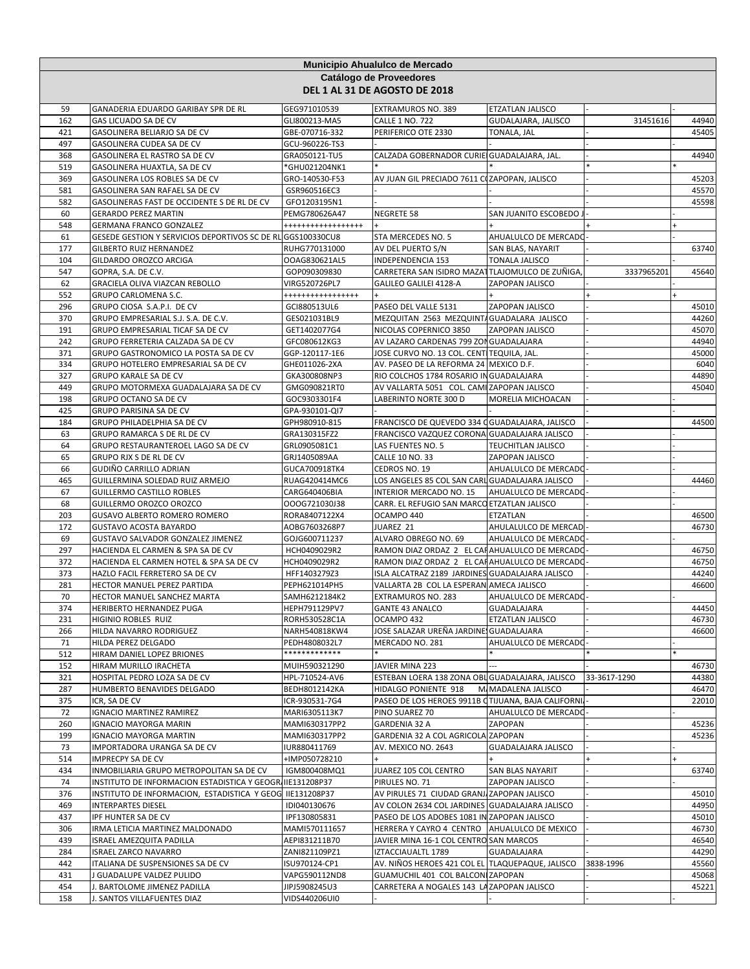|            | Municipio Ahualulco de Mercado                                            |                                     |                                                                                      |                                 |              |                |  |  |  |
|------------|---------------------------------------------------------------------------|-------------------------------------|--------------------------------------------------------------------------------------|---------------------------------|--------------|----------------|--|--|--|
|            | Catálogo de Proveedores                                                   |                                     |                                                                                      |                                 |              |                |  |  |  |
|            | DEL 1 AL 31 DE AGOSTO DE 2018                                             |                                     |                                                                                      |                                 |              |                |  |  |  |
| 59         | GANADERIA EDUARDO GARIBAY SPR DE RL                                       | GEG971010539                        | EXTRAMUROS NO. 389                                                                   | ETZATLAN JALISCO                |              |                |  |  |  |
| 162        | GAS LICUADO SA DE CV                                                      | GLI800213-MA5                       | <b>CALLE 1 NO. 722</b>                                                               | GUDALAJARA, JALISCO             | 31451616     | 44940          |  |  |  |
| 421        | GASOLINERA BELIARJO SA DE CV                                              | GBE-070716-332                      | PERIFERICO OTE 2330                                                                  | TONALA, JAL                     |              | 45405          |  |  |  |
| 497        | GASOLINERA CUDEA SA DE CV                                                 | GCU-960226-TS3                      |                                                                                      |                                 |              |                |  |  |  |
| 368        | GASOLINERA EL RASTRO SA DE CV                                             | GRA050121-TU5                       | CALZADA GOBERNADOR CURIE GUADALAJARA, JAL.                                           |                                 |              | 44940          |  |  |  |
| 519        | GASOLINERA HUAXTLA, SA DE CV                                              | *GHU021204NK1                       |                                                                                      |                                 |              |                |  |  |  |
| 369        | GASOLINERA LOS ROBLES SA DE CV                                            | GRO-140530-F53                      | AV JUAN GIL PRECIADO 7611 COZAPOPAN, JALISCO                                         |                                 |              | 45203          |  |  |  |
| 581        | GASOLINERA SAN RAFAEL SA DE CV                                            | GSR960516EC3                        |                                                                                      |                                 |              | 45570          |  |  |  |
| 582        | GASOLINERAS FAST DE OCCIDENTE S DE RL DE CV                               | GFO1203195N1                        |                                                                                      |                                 |              | 45598          |  |  |  |
| 60<br>548  | <b>GERARDO PEREZ MARTIN</b><br><b>GERMANA FRANCO GONZALEZ</b>             | PEMG780626A47<br>****************** | NEGRETE 58                                                                           | SAN JUANITO ESCOBEDO.           |              |                |  |  |  |
| 61         | GESEDE GESTION Y SERVICIOS DEPORTIVOS SC DE RL GGS100330CU8               |                                     | STA MERCEDES NO. 5                                                                   | AHUALULCO DE MERCADO            |              |                |  |  |  |
| 177        | <b>GILBERTO RUIZ HERNANDEZ</b>                                            | RUHG770131000                       | AV DEL PUERTO S/N                                                                    | SAN BLAS, NAYARIT               |              | 63740          |  |  |  |
| 104        | GILDARDO OROZCO ARCIGA                                                    | OOAG830621AL5                       | INDEPENDENCIA 153                                                                    | <b>TONALA JALISCO</b>           |              |                |  |  |  |
| 547        | GOPRA, S.A. DE C.V.                                                       | GOP090309830                        | CARRETERA SAN ISIDRO MAZATTLAJOMULCO DE ZUÑIGA                                       |                                 | 3337965201   | 45640          |  |  |  |
| 62         | GRACIELA OLIVA VIAZCAN REBOLLO                                            | VIRG520726PL7                       | GALILEO GALILEI 4128-A                                                               | ZAPOPAN JALISCO                 |              |                |  |  |  |
| 552        | GRUPO CARLOMENA S.C.                                                      | *****************                   |                                                                                      |                                 |              |                |  |  |  |
| 296        | GRUPO CIOSA S.A.P.I. DE CV                                                | GCI880513UL6                        | PASEO DEL VALLE 5131                                                                 | <b>ZAPOPAN JALISCO</b>          |              | 45010          |  |  |  |
| 370        | GRUPO EMPRESARIAL S.J. S.A. DE C.V.                                       | GES021031BL9                        | MEZQUITAN 2563 MEZQUINTA GUADALARA JALISCO                                           |                                 |              | 44260          |  |  |  |
| 191        | GRUPO EMPRESARIAL TICAF SA DE CV                                          | GET1402077G4                        | NICOLAS COPERNICO 3850                                                               | ZAPOPAN JALISCO                 |              | 45070          |  |  |  |
| 242<br>371 | GRUPO FERRETERIA CALZADA SA DE CV<br>GRUPO GASTRONOMICO LA POSTA SA DE CV | GFC080612KG3                        | AV LAZARO CARDENAS 799 ZON GUADALAJARA<br>JOSE CURVO NO. 13 COL. CENTITEQUILA, JAL.  |                                 |              | 44940<br>45000 |  |  |  |
| 334        | GRUPO HOTELERO EMPRESARIAL SA DE CV                                       | GGP-120117-1E6<br>GHE011026-2XA     | AV. PASEO DE LA REFORMA 24 MEXICO D.F.                                               |                                 |              | 6040           |  |  |  |
| 327        | <b>GRUPO KARALE SA DE CV</b>                                              | GKA300808NP3                        | RIO COLCHOS 1784 ROSARIO IN GUADALAJARA                                              |                                 |              | 44890          |  |  |  |
| 449        | GRUPO MOTORMEXA GUADALAJARA SA DE CV                                      | GMG090821RT0                        | AV VALLARTA 5051 COL. CAMI ZAPOPAN JALISCO                                           |                                 |              | 45040          |  |  |  |
| 198        | <b>GRUPO OCTANO SA DE CV</b>                                              | GOC9303301F4                        | LABERINTO NORTE 300 D                                                                | MORELIA MICHOACAN               |              |                |  |  |  |
| 425        | GRUPO PARISINA SA DE CV                                                   | GPA-930101-QI7                      |                                                                                      |                                 |              |                |  |  |  |
| 184        | GRUPO PHILADELPHIA SA DE CV                                               | GPH980910-815                       | FRANCISCO DE QUEVEDO 334 OGUADALAJARA, JALISCO                                       |                                 |              | 44500          |  |  |  |
| 63         | GRUPO RAMARCA S DE RL DE CV                                               | GRA130315FZ2                        | FRANCISCO VAZQUEZ CORONA GUADALAJARA JALISCO                                         |                                 |              |                |  |  |  |
| 64         | GRUPO RESTAURANTEROEL LAGO SA DE CV                                       | GRL0905081C1                        | LAS FUENTES NO. 5                                                                    | TEUCHITLAN JALISCO              |              |                |  |  |  |
| 65         | GRUPO RJX S DE RL DE CV                                                   | GRJ1405089AA                        | CALLE 10 NO. 33                                                                      | ZAPOPAN JALISCO                 |              |                |  |  |  |
| 66         | GUDIÑO CARRILLO ADRIAN                                                    | GUCA700918TK4                       | CEDROS NO. 19                                                                        | AHUALULCO DE MERCADO            |              |                |  |  |  |
| 465<br>67  | GUILLERMINA SOLEDAD RUIZ ARMEJO<br>GUILLERMO CASTILLO ROBLES              | RUAG420414MC6<br>CARG640406BIA      | LOS ANGELES 85 COL SAN CARL GUADALAJARA JALISCO<br>INTERIOR MERCADO NO. 15           | AHUALULCO DE MERCADO            |              | 44460          |  |  |  |
| 68         | GUILLERMO OROZCO OROZCO                                                   | OOOG721030J38                       | CARR. EL REFUGIO SAN MARCO ETZATLAN JALISCO                                          |                                 |              |                |  |  |  |
| 203        | GUSAVO ALBERTO ROMERO ROMERO                                              | RORA8407122X4                       | OCAMPO 440                                                                           | ETZATLAN                        |              | 46500          |  |  |  |
| 172        | <b>GUSTAVO ACOSTA BAYARDO</b>                                             | AOBG7603268P7                       | JUAREZ 21                                                                            | AHULALULCO DE MERCAD            |              | 46730          |  |  |  |
| 69         | GUSTAVO SALVADOR GONZALEZ JIMENEZ                                         | GOJG600711237                       | ALVARO OBREGO NO. 69                                                                 | AHUALULCO DE MERCADO            |              |                |  |  |  |
| 297        | HACIENDA EL CARMEN & SPA SA DE CV                                         | HCH0409029R2                        | RAMON DIAZ ORDAZ 2 EL CAHAHUALULCO DE MERCADO                                        |                                 |              | 46750          |  |  |  |
| 372        | HACIENDA EL CARMEN HOTEL & SPA SA DE CV                                   | HCH0409029R2                        | RAMON DIAZ ORDAZ 2 EL CAHAHUALULCO DE MERCADO                                        |                                 |              | 46750          |  |  |  |
| 373        | HAZLO FACIL FERRETERO SA DE CV                                            | HFF1403279Z3                        | ISLA ALCATRAZ 2189 JARDINES GUADALAJARA JALISCO                                      |                                 |              | 44240          |  |  |  |
| 281        | HECTOR MANUEL PEREZ PARTIDA                                               | PEPH621014PH5                       | VALLARTA 2B COL LA ESPERAN AMECA JALISCO                                             |                                 |              | 46600          |  |  |  |
| 70         | HECTOR MANUEL SANCHEZ MARTA                                               | SAMH6212184K2                       | EXTRAMUROS NO. 283                                                                   | AHUALULCO DE MERCADO            |              |                |  |  |  |
| 374<br>231 | <b>HERIBERTO HERNANDEZ PUGA</b><br>HIGINIO ROBLES RUIZ                    | HEPH791129PV7                       | <b>GANTE 43 ANALCO</b><br>OCAMPO 432                                                 | GUADALAJARA<br>ETZATLAN JALISCO |              | 44450<br>46730 |  |  |  |
| 266        | HILDA NAVARRO RODRIGUEZ                                                   | RORH530528C1A<br>NARH540818KW4      | JOSE SALAZAR UREÑA JARDINE, GUADALAJARA                                              |                                 |              | 46600          |  |  |  |
| 71         | HILDA PEREZ DELGADO                                                       | PEDH4808032L7                       | MERCADO NO. 281                                                                      | AHUALULCO DE MERCADO            |              |                |  |  |  |
| 512        | HIRAM DANIEL LOPEZ BRIONES                                                | ************                        |                                                                                      |                                 |              |                |  |  |  |
| 152        | HIRAM MURILLO IRACHETA                                                    | MUIH590321290                       | JAVIER MINA 223                                                                      |                                 |              | 46730          |  |  |  |
| 321        | HOSPITAL PEDRO LOZA SA DE CV                                              | HPL-710524-AV6                      | ESTEBAN LOERA 138 ZONA OBL GUADALAJARA, JALISCO                                      |                                 | 33-3617-1290 | 44380          |  |  |  |
| 287        | HUMBERTO BENAVIDES DELGADO                                                | BEDH8012142KA                       | HIDALGO PONIENTE 918                                                                 | M. MADALENA JALISCO             |              | 46470          |  |  |  |
| 375        | ICR, SA DE CV                                                             | ICR-930531-7G4                      | PASEO DE LOS HEROES 9911B CTIJUANA, BAJA CALIFORNI.                                  |                                 |              | 22010          |  |  |  |
| 72         | IGNACIO MARTINEZ RAMIREZ                                                  | MARI6305113K7                       | PINO SUAREZ 70                                                                       | AHUALULCO DE MERCADO            |              |                |  |  |  |
| 260        | IGNACIO MAYORGA MARIN                                                     | MAMI630317PP2                       | GARDENIA 32 A                                                                        | ZAPOPAN                         |              | 45236          |  |  |  |
| 199<br>73  | <b>IGNACIO MAYORGA MARTIN</b><br>IMPORTADORA URANGA SA DE CV              | MAMI630317PP2<br>IUR880411769       | GARDENIA 32 A COL AGRICOLA ZAPOPAN<br>AV. MEXICO NO. 2643                            | GUADALAJARA JALISCO             |              | 45236          |  |  |  |
| 514        | IMPRECPY SA DE CV                                                         | +IMP050728210                       |                                                                                      |                                 |              |                |  |  |  |
| 434        | INMOBILIARIA GRUPO METROPOLITAN SA DE CV                                  | IGM800408MQ1                        | JUAREZ 105 COL CENTRO                                                                | SAN BLAS NAYARIT                |              | 63740          |  |  |  |
| 74         | INSTITUTO DE INFORMACION ESTADISTICA Y GEOGRI IIE131208P37                |                                     | PIRULES NO. 71                                                                       | ZAPOPAN JALISCO                 |              |                |  |  |  |
| 376        | INSTITUTO DE INFORMACION, ESTADISTICA Y GEOG IIE131208P37                 |                                     | AV PIRULES 71 CIUDAD GRANJ ZAPOPAN JALISCO                                           |                                 |              | 45010          |  |  |  |
| 469        | <b>INTERPARTES DIESEL</b>                                                 | IDI040130676                        | AV COLON 2634 COL JARDINES GUADALAJARA JALISCO                                       |                                 |              | 44950          |  |  |  |
| 437        | IPF HUNTER SA DE CV                                                       | IPF130805831                        | PASEO DE LOS ADOBES 1081 IN ZAPOPAN JALISCO                                          |                                 |              | 45010          |  |  |  |
| 306        | IRMA LETICIA MARTINEZ MALDONADO                                           | MAMI570111657                       | HERRERA Y CAYRO 4 CENTRO AHUALULCO DE MEXICO                                         |                                 |              | 46730          |  |  |  |
| 439        | ISRAEL AMEZQUITA PADILLA                                                  | AEPI831211B70                       | JAVIER MINA 16-1 COL CENTRO SAN MARCOS                                               |                                 |              | 46540          |  |  |  |
| 284        | <b>ISRAEL ZARCO NAVARRO</b>                                               | ZANI821109PZ1                       | IZTACCIAUALTL 1789                                                                   | GUADALAJARA                     |              | 44290          |  |  |  |
| 442<br>431 | ITALIANA DE SUSPENSIONES SA DE CV<br>J GUADALUPE VALDEZ PULIDO            | ISU970124-CP1<br>VAPG590112ND8      | AV. NIÑOS HEROES 421 COL EL TLAQUEPAQUE, JALISCO<br>GUAMUCHIL 401 COL BALCON ZAPOPAN |                                 | 3838-1996    | 45560<br>45068 |  |  |  |
| 454        | J. BARTOLOME JIMENEZ PADILLA                                              | JIPJ5908245U3                       | CARRETERA A NOGALES 143 LA ZAPOPAN JALISCO                                           |                                 |              | 45221          |  |  |  |
| 158        | J. SANTOS VILLAFUENTES DIAZ                                               | VIDS440206UI0                       |                                                                                      |                                 |              |                |  |  |  |
|            |                                                                           |                                     |                                                                                      |                                 |              |                |  |  |  |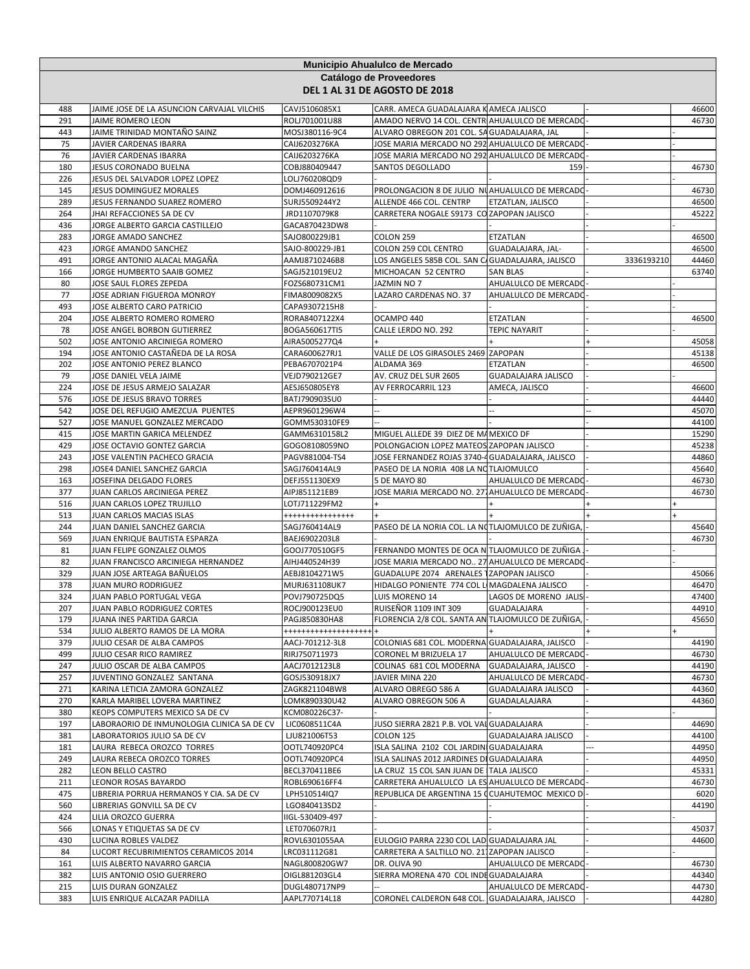|            | Municipio Ahualulco de Mercado<br>Catálogo de Proveedores<br>DEL 1 AL 31 DE AGOSTO DE 2018 |                                  |                                                                                           |                                      |            |                |  |
|------------|--------------------------------------------------------------------------------------------|----------------------------------|-------------------------------------------------------------------------------------------|--------------------------------------|------------|----------------|--|
|            |                                                                                            |                                  |                                                                                           |                                      |            |                |  |
| 488<br>291 | JAIME JOSE DE LA ASUNCION CARVAJAL VILCHIS<br>JAIME ROMERO LEON                            | CAVJ5106085X1                    | CARR. AMECA GUADALAJARA KAMECA JALISCO<br>AMADO NERVO 14 COL. CENTR AHUALULCO DE MERCADO- |                                      |            | 46600<br>46730 |  |
| 443        | JAIME TRINIDAD MONTAÑO SAINZ                                                               | ROLJ701001U88<br>MOSJ380116-9C4  | ALVARO OBREGON 201 COL. SA GUADALAJARA, JAL                                               |                                      |            |                |  |
| 75         | JAVIER CARDENAS IBARRA                                                                     | CAIJ6203276KA                    | JOSE MARIA MERCADO NO 292 AHUALULCO DE MERCADO                                            |                                      |            |                |  |
| 76         | JAVIER CARDENAS IBARRA                                                                     | CAIJ6203276KA                    | JOSE MARIA MERCADO NO 292 AHUALULCO DE MERCADO                                            |                                      |            |                |  |
| 180        | JESUS CORONADO BUELNA                                                                      | COBJ880409447                    | SANTOS DEGOLLADO                                                                          | 159                                  |            | 46730          |  |
| 226        | JESUS DEL SALVADOR LOPEZ LOPEZ                                                             | LOLJ760208QD9                    |                                                                                           |                                      |            |                |  |
| 145        | <b>JESUS DOMINGUEZ MORALES</b>                                                             | DOMJ460912616                    | PROLONGACION 8 DE JULIO NUAHUALULCO DE MERCADO                                            |                                      |            | 46730          |  |
| 289        | JESUS FERNANDO SUAREZ ROMERO                                                               | SURJ5509244Y2                    | ALLENDE 466 COL. CENTRP                                                                   | ETZATLAN, JALISCO                    |            | 46500          |  |
| 264        | JHAI REFACCIONES SA DE CV                                                                  | JRD1107079K8                     | CARRETERA NOGALE S9173 CO ZAPOPAN JALISCO                                                 |                                      |            | 45222          |  |
| 436        | JORGE ALBERTO GARCIA CASTILLEJO                                                            | GACA870423DW8                    |                                                                                           |                                      |            |                |  |
| 283<br>423 | JORGE AMADO SANCHEZ<br>JORGE AMANDO SANCHEZ                                                | SAJO800229JB1<br>SAJO-800229-JB1 | COLON 259<br>COLON 259 COL CENTRO                                                         | <b>ETZATLAN</b><br>GUADALAJARA, JAL- |            | 46500<br>46500 |  |
| 491        | JORGE ANTONIO ALACAL MAGAÑA                                                                | AAMJ8710246B8                    | LOS ANGELES 585B COL. SAN C/ GUADALAJARA, JALISCO                                         |                                      | 3336193210 | 44460          |  |
| 166        | JORGE HUMBERTO SAAIB GOMEZ                                                                 | SAGJ521019EU2                    | MICHOACAN 52 CENTRO                                                                       | <b>SAN BLAS</b>                      |            | 63740          |  |
| 80         | JOSE SAUL FLORES ZEPEDA                                                                    | FOZS680731CM1                    | JAZMIN NO 7                                                                               | AHUALULCO DE MERCADO                 |            |                |  |
| 77         | JOSE ADRIAN FIGUEROA MONROY                                                                | FIMA8009082X5                    | LAZARO CARDENAS NO. 37                                                                    | AHUALULCO DE MERCADO                 |            |                |  |
| 493        | JOSE ALBERTO CARO PATRICIO                                                                 | CAPA9307215H8                    |                                                                                           |                                      |            |                |  |
| 204        | JOSE ALBERTO ROMERO ROMERO                                                                 | RORA8407122X4                    | OCAMPO 440                                                                                | ETZATLAN                             |            | 46500          |  |
| 78         | JOSE ANGEL BORBON GUTIERREZ                                                                | BOGA560617TI5                    | CALLE LERDO NO. 292                                                                       | TEPIC NAYARIT                        |            |                |  |
| 502        | JOSE ANTONIO ARCINIEGA ROMERO                                                              | AIRA5005277Q4                    |                                                                                           |                                      |            | 45058          |  |
| 194<br>202 | JOSE ANTONIO CASTAÑEDA DE LA ROSA                                                          | CARA600627RJ1                    | VALLE DE LOS GIRASOLES 2469 ZAPOPAN<br>ALDAMA 369                                         | <b>ETZATLAN</b>                      |            | 45138<br>46500 |  |
| 79         | JOSE ANTONIO PEREZ BLANCO<br>JOSE DANIEL VELA JAIME                                        | PEBA6707021P4<br>VEJD790212GE7   | AV. CRUZ DEL SUR 2605                                                                     | GUADALAJARA JALISCO                  |            |                |  |
| 224        | JOSE DE JESUS ARMEJO SALAZAR                                                               | AESJ650805EY8                    | AV FERROCARRIL 123                                                                        | AMECA, JALISCO                       |            | 46600          |  |
| 576        | JOSE DE JESUS BRAVO TORRES                                                                 | BATJ790903SU0                    |                                                                                           |                                      |            | 44440          |  |
| 542        | JOSE DEL REFUGIO AMEZCUA PUENTES                                                           | AEPR9601296W4                    |                                                                                           |                                      |            | 45070          |  |
| 527        | JOSE MANUEL GONZALEZ MERCADO                                                               | GOMM530310FE9                    |                                                                                           |                                      |            | 44100          |  |
| 415        | JOSE MARTIN GARICA MELENDEZ                                                                | GAMM6310158L2                    | MIGUEL ALLEDE 39 DIEZ DE MA MEXICO DF                                                     |                                      |            | 15290          |  |
| 429        | JOSE OCTAVIO GONTEZ GARCIA                                                                 | GOGO8108059NO                    | POLONGACION LOPEZ MATEOS ZAPOPAN JALISCO                                                  |                                      |            | 45238          |  |
| 243        | JOSE VALENTIN PACHECO GRACIA                                                               | PAGV881004-TS4                   | JOSE FERNANDEZ ROJAS 3740-4 GUADALAJARA, JALISCO                                          |                                      |            | 44860          |  |
| 298        | JOSE4 DANIEL SANCHEZ GARCIA                                                                | SAGJ760414AL9                    | PASEO DE LA NORIA 408 LA NOTLAJOMULCO                                                     |                                      |            | 45640          |  |
| 163        | JOSEFINA DELGADO FLORES                                                                    | DEFJ551130EX9                    | 5 DE MAYO 80                                                                              | AHUALULCO DE MERCADO-                |            | 46730          |  |
| 377        | JUAN CARLOS ARCINIEGA PEREZ                                                                | AIPJ851121EB9                    | JOSE MARIA MERCADO NO. 271 AHUALULCO DE MERCADO                                           |                                      |            | 46730          |  |
| 516<br>513 | JUAN CARLOS LOPEZ TRUJILLO<br>JUAN CARLOS MACIAS ISLAS                                     | LOTJ711229FM2                    |                                                                                           |                                      |            |                |  |
| 244        | JUAN DANIEL SANCHEZ GARCIA                                                                 | +++++++++++++++<br>SAGJ760414AL9 | PASEO DE LA NORIA COL. LA NOTLAJOMULCO DE ZUÑIGA,                                         |                                      |            | 45640          |  |
| 569        | JUAN ENRIQUE BAUTISTA ESPARZA                                                              | BAEJ6902203L8                    |                                                                                           |                                      |            | 46730          |  |
| 81         | JUAN FELIPE GONZALEZ OLMOS                                                                 | GOOJ770510GF5                    | FERNANDO MONTES DE OCA N TLAJOMULCO DE ZUÑIGA                                             |                                      |            |                |  |
| 82         | JUAN FRANCISCO ARCINIEGA HERNANDEZ                                                         | AIHJ440524H39                    | JOSE MARIA MERCADO NO 27 AHUALULCO DE MERCADO                                             |                                      |            |                |  |
| 329        | JUAN JOSE ARTEAGA BAÑUELOS                                                                 | AEBJ8104271W5                    | GUADALUPE 2074 ARENALES 1ZAPOPAN JALISCO                                                  |                                      |            | 45066          |  |
| 378        | <b>JUAN MURO RODRIGUEZ</b>                                                                 | MURJ631108UK7                    | HIDALGO PONIENTE 774 COL LI MAGDALENA JALISCO                                             |                                      |            | 46470          |  |
| 324        | JUAN PABLO PORTUGAL VEGA                                                                   | POVJ790725DQ5                    | LUIS MORENO 14                                                                            | LAGOS DE MORENO JALIS                |            | 47400          |  |
| 207        | JUAN PABLO RODRIGUEZ CORTES                                                                | ROCJ900123EU0                    | <b>RUISEÑOR 1109 INT 309</b>                                                              | GUADALAJARA                          |            | 44910          |  |
| 179        | JUANA INES PARTIDA GARCIA                                                                  | PAGJ850830HA8                    | FLORENCIA 2/8 COL. SANTA AN TLAJOMULCO DE ZUÑIGA,                                         |                                      |            | 45650          |  |
| 534        | JULIO ALBERTO RAMOS DE LA MORA                                                             | *******************              |                                                                                           |                                      |            |                |  |
| 379<br>499 | JULIO CESAR DE ALBA CAMPOS<br>JULIO CESAR RICO RAMIREZ                                     | AACJ-701212-3L8<br>RIRJ750711973 | COLONIAS 681 COL. MODERNA GUADALAJARA, JALISCO<br>CORONEL M BRIZUELA 17                   | AHUALULCO DE MERCADO                 |            | 44190<br>46730 |  |
| 247        | JULIO OSCAR DE ALBA CAMPOS                                                                 | AACJ7012123L8                    | COLINAS 681 COL MODERNA                                                                   | GUADALAJARA, JALISCO                 |            | 44190          |  |
| 257        | JUVENTINO GONZALEZ SANTANA                                                                 | GOSJ530918JX7                    | JAVIER MINA 220                                                                           | AHUALULCO DE MERCADO                 |            | 46730          |  |
| 271        | KARINA LETICIA ZAMORA GONZALEZ                                                             | ZAGK821104BW8                    | ALVARO OBREGO 586 A                                                                       | GUADALAJARA JALISCO                  |            | 44360          |  |
| 270        | KARLA MARIBEL LOVERA MARTINEZ                                                              | LOMK890330U42                    | ALVARO OBREGON 506 A                                                                      | GUADALALAJARA                        |            | 44360          |  |
| 380        | KEOPS COMPUTERS MEXICO SA DE CV                                                            | KCM080226C37-                    |                                                                                           |                                      |            |                |  |
| 197        | LABORAORIO DE INMUNOLOGIA CLINICA SA DE CV                                                 | LIC0608511C4A                    | JUSO SIERRA 2821 P.B. VOL VALGUADALAJARA                                                  |                                      |            | 44690          |  |
| 381        | LABORATORIOS JULIO SA DE CV                                                                | LJU821006T53                     | COLON 125                                                                                 | GUADALAJARA JALISCO                  |            | 44100          |  |
| 181        | LAURA REBECA OROZCO TORRES                                                                 | OOTL740920PC4                    | ISLA SALINA 2102 COL JARDINI GUADALAJARA                                                  |                                      |            | 44950          |  |
| 249<br>282 | LAURA REBECA OROZCO TORRES<br>LEON BELLO CASTRO                                            | OOTL740920PC4<br>BECL370411BE6   | ISLA SALINAS 2012 JARDINES DI GUADALAJARA<br>LA CRUZ 15 COL SAN JUAN DE ITALA JALISCO     |                                      |            | 44950<br>45331 |  |
| 211        | LEONOR ROSAS BAYARDO                                                                       | ROBL690616FF4                    | CARRETERA AHUALULCO LA ES AHUALULCO DE MERCADO                                            |                                      |            | 46730          |  |
| 475        | LIBRERIA PORRUA HERMANOS Y CIA. SA DE CV                                                   | LPH510514IQ7                     | REPUBLICA DE ARGENTINA 15 CCUAHUTEMOC MEXICO D                                            |                                      |            | 6020           |  |
| 560        | LIBRERIAS GONVILL SA DE CV                                                                 | LGO840413SD2                     |                                                                                           |                                      |            | 44190          |  |
| 424        | LILIA OROZCO GUERRA                                                                        | IIGL-530409-497                  |                                                                                           |                                      |            |                |  |
| 566        | LONAS Y ETIQUETAS SA DE CV                                                                 | LET070607RJ1                     |                                                                                           |                                      |            | 45037          |  |
| 430        | LUCINA ROBLES VALDEZ                                                                       | ROVL6301055AA                    | EULOGIO PARRA 2230 COL LAD GUADALAJARA JAL                                                |                                      |            | 44600          |  |
| 84         | LUCORT RECUBRIMIENTOS CERAMICOS 2014                                                       | LRC031112G81                     | CARRETERA A SALTILLO NO. 211ZAPOPAN JALISCO                                               |                                      |            |                |  |
| 161        | LUIS ALBERTO NAVARRO GARCIA                                                                | NAGL800820GW7                    | DR. OLIVA 90                                                                              | AHUALULCO DE MERCADO                 |            | 46730          |  |
| 382        | LUIS ANTONIO OSIO GUERRERO                                                                 | OIGL881203GL4                    | SIERRA MORENA 470 COL INDE GUADALAJARA                                                    |                                      |            | 44340          |  |
| 215        | LUIS DURAN GONZALEZ                                                                        | DUGL480717NP9                    |                                                                                           | AHUALULCO DE MERCADO                 |            | 44730          |  |
| 383        | LUIS ENRIQUE ALCAZAR PADILLA                                                               | AAPL770714L18                    | CORONEL CALDERON 648 COL. GUADALAJARA, JALISCO                                            |                                      |            | 44280          |  |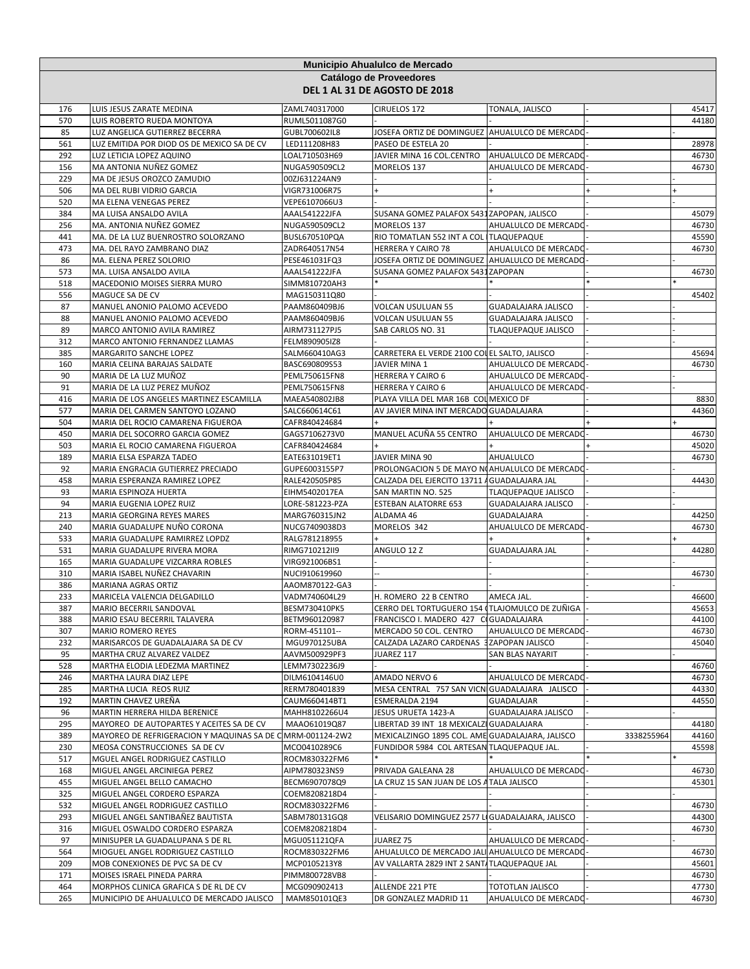| Municipio Ahualulco de Mercado |                                                                           |                                |                                                                                               |                            |            |                |  |  |
|--------------------------------|---------------------------------------------------------------------------|--------------------------------|-----------------------------------------------------------------------------------------------|----------------------------|------------|----------------|--|--|
| Catálogo de Proveedores        |                                                                           |                                |                                                                                               |                            |            |                |  |  |
| DEL 1 AL 31 DE AGOSTO DE 2018  |                                                                           |                                |                                                                                               |                            |            |                |  |  |
|                                |                                                                           | ZAML740317000                  | CIRUELOS 172                                                                                  | TONALA, JALISCO            |            | 45417          |  |  |
| 176<br>570                     | LUIS JESUS ZARATE MEDINA<br>LUIS ROBERTO RUEDA MONTOYA                    | RUML5011087G0                  |                                                                                               |                            |            | 44180          |  |  |
| 85                             | LUZ ANGELICA GUTIERREZ BECERRA                                            | GUBL700602IL8                  | JOSEFA ORTIZ DE DOMINGUEZ AHUALULCO DE MERCADO                                                |                            |            |                |  |  |
| 561                            | LUZ EMITIDA POR DIOD OS DE MEXICO SA DE CV                                | LED111208H83                   | PASEO DE ESTELA 20                                                                            |                            |            | 28978          |  |  |
| 292                            | LUZ LETICIA LOPEZ AQUINO                                                  | LOAL710503H69                  | JAVIER MINA 16 COL.CENTRO                                                                     | AHUALULCO DE MERCADO       |            | 46730          |  |  |
| 156                            | MA ANTONIA NUÑEZ GOMEZ                                                    | NUGA590509CL2                  | MORELOS 137                                                                                   | AHUALULCO DE MERCADO       |            | 46730          |  |  |
| 229                            | MA DE JESUS OROZCO ZAMUDIO                                                | 00ZJ631224AN9                  |                                                                                               |                            |            |                |  |  |
| 506                            | MA DEL RUBI VIDRIO GARCIA                                                 | VIGR731006R75                  |                                                                                               |                            |            |                |  |  |
| 520                            | MA ELENA VENEGAS PEREZ                                                    | VEPE6107066U3                  |                                                                                               |                            |            |                |  |  |
| 384                            | MA LUISA ANSALDO AVILA                                                    | AAAL541222JFA                  | SUSANA GOMEZ PALAFOX 5431 ZAPOPAN, JALISCO                                                    |                            |            | 45079          |  |  |
| 256                            | MA. ANTONIA NUÑEZ GOMEZ                                                   | NUGA590509CL2                  | MORELOS 137                                                                                   | AHUALULCO DE MERCADO       |            | 46730          |  |  |
| 441<br>473                     | MA. DE LA LUZ BUENROSTRO SOLORZANO<br>MA. DEL RAYO ZAMBRANO DIAZ          | BUSL670510PQA<br>ZADR640517N54 | RIO TOMATLAN 552 INT A COL ITLAQUEPAQUE<br><b>HERRERA Y CAIRO 78</b>                          | AHUALULCO DE MERCADO       |            | 45590<br>46730 |  |  |
| 86                             | MA. ELENA PEREZ SOLORIO                                                   | PESE461031FQ3                  | JOSEFA ORTIZ DE DOMINGUEZ AHUALULCO DE MERCADO                                                |                            |            |                |  |  |
| 573                            | MA. LUISA ANSALDO AVILA                                                   | AAAL541222JFA                  | SUSANA GOMEZ PALAFOX 5431 ZAPOPAN                                                             |                            |            | 46730          |  |  |
| 518                            | MACEDONIO MOISES SIERRA MURO                                              | SIMM810720AH3                  |                                                                                               |                            |            |                |  |  |
| 556                            | MAGUCE SA DE CV                                                           | MAG150311Q80                   |                                                                                               |                            |            | 45402          |  |  |
| 87                             | MANUEL ANONIO PALOMO ACEVEDO                                              | PAAM860409BJ6                  | <b>VOLCAN USULUAN 55</b>                                                                      | <b>GUADALAJARA JALISCO</b> |            |                |  |  |
| 88                             | MANUEL ANONIO PALOMO ACEVEDO                                              | PAAM860409BJ6                  | VOLCAN USULUAN 55                                                                             | GUADALAJARA JALISCO        |            |                |  |  |
| 89                             | MARCO ANTONIO AVILA RAMIREZ                                               | AIRM731127PJ5                  | SAB CARLOS NO. 31                                                                             | TLAQUEPAQUE JALISCO        |            |                |  |  |
| 312                            | MARCO ANTONIO FERNANDEZ LLAMAS                                            | FELM890905IZ8                  |                                                                                               |                            |            |                |  |  |
| 385                            | MARGARITO SANCHE LOPEZ                                                    | SALM660410AG3                  | CARRETERA EL VERDE 2100 COLEL SALTO, JALISCO                                                  |                            |            | 45694          |  |  |
| 160                            | MARIA CELINA BARAJAS SALDATE                                              | BASC690809S53                  | JAVIER MINA 1                                                                                 | AHUALULCO DE MERCADO       |            | 46730          |  |  |
| 90                             | MARIA DE LA LUZ MUÑOZ                                                     | PEML750615FN8                  | HERRERA Y CAIRO 6                                                                             | AHUALULCO DE MERCADO       |            |                |  |  |
| 91                             | MARIA DE LA LUZ PEREZ MUÑOZ                                               | <b>PEML750615FN8</b>           | <b>HERRERA Y CAIRO 6</b>                                                                      | AHUALULCO DE MERCADO       |            |                |  |  |
| 416                            | MARIA DE LOS ANGELES MARTINEZ ESCAMILLA                                   | MAEA540802JB8                  | PLAYA VILLA DEL MAR 16B COL MEXICO DF                                                         |                            |            | 8830           |  |  |
| 577                            | MARIA DEL CARMEN SANTOYO LOZANO                                           | SALC660614C61                  | AV JAVIER MINA INT MERCADO GUADALAJARA                                                        |                            |            | 44360          |  |  |
| 504                            | MARIA DEL ROCIO CAMARENA FIGUEROA                                         | CAFR840424684                  |                                                                                               |                            |            |                |  |  |
| 450                            | MARIA DEL SOCORRO GARCIA GOMEZ                                            | GAGS7106273V0                  | MANUEL ACUÑA 55 CENTRO                                                                        | AHUALULCO DE MERCADO       |            | 46730          |  |  |
| 503                            | MARIA EL ROCIO CAMARENA FIGUEROA                                          | CAFR840424684                  |                                                                                               |                            |            | 45020          |  |  |
| 189                            | MARIA ELSA ESPARZA TADEO                                                  | EATE631019ET1                  | JAVIER MINA 90                                                                                | AHUALULCO                  |            | 46730          |  |  |
| 92<br>458                      | MARIA ENGRACIA GUTIERREZ PRECIADO                                         | GUPE6003155P7                  | PROLONGACION 5 DE MAYO NOAHUALULCO DE MERCADO<br>CALZADA DEL EJERCITO 13711 / GUADALAJARA JAL |                            |            | 44430          |  |  |
| 93                             | MARIA ESPERANZA RAMIREZ LOPEZ<br>MARIA ESPINOZA HUERTA                    | RALE420505P85<br>EIHM5402017EA | SAN MARTIN NO. 525                                                                            | <b>TLAQUEPAQUE JALISCO</b> |            |                |  |  |
| 94                             | MARIA EUGENIA LOPEZ RUIZ                                                  | LORE-581223-PZA                | <b>ESTEBAN ALATORRE 653</b>                                                                   | GUADALAJARA JALISCO        |            |                |  |  |
| 213                            | MARIA GEORGINA REYES MARES                                                | MARG760315JN2                  | ALDAMA 46                                                                                     | GUADALAJARA                |            | 44250          |  |  |
| 240                            | MARIA GUADALUPE NUÑO CORONA                                               | NUCG7409038D3                  | MORELOS 342                                                                                   | AHUALULCO DE MERCADO       |            | 46730          |  |  |
| 533                            | MARIA GUADALUPE RAMIRREZ LOPDZ                                            | RALG781218955                  |                                                                                               |                            |            |                |  |  |
| 531                            | MARIA GUADALUPE RIVERA MORA                                               | RIMG710212II9                  | ANGULO 12 Z                                                                                   | <b>GUADALAJARA JAL</b>     |            | 44280          |  |  |
| 165                            | MARIA GUADALUPE VIZCARRA ROBLES                                           | VIRG921006BS1                  |                                                                                               |                            |            |                |  |  |
| 310                            | MARIA ISABEL NUÑEZ CHAVARIN                                               | NUCI910619960                  |                                                                                               |                            |            | 46730          |  |  |
| 386                            | <b>MARIANA AGRAS ORTIZ</b>                                                | AAOM870122-GA3                 |                                                                                               |                            |            |                |  |  |
| 233                            | MARICELA VALENCIA DELGADILLO                                              | VADM740604L29                  | H. ROMERO 22 B CENTRO                                                                         | AMECA JAL.                 |            | 46600          |  |  |
| 387                            | MARIO BECERRIL SANDOVAL                                                   | BESM730410PK5                  | CERRO DEL TORTUGUERO 154 (TLAJOMULCO DE ZUÑIGA                                                |                            |            | 45653          |  |  |
| 388                            | MARIO ESAU BECERRIL TALAVERA                                              | BETM960120987                  | FRANCISCO I. MADERO 427 CIGUADALAJARA                                                         |                            |            | 44100          |  |  |
| 307                            | <b>MARIO ROMERO REYES</b>                                                 | RORM-451101--                  | MERCADO 50 COL. CENTRO                                                                        | AHUALULCO DE MERCADO       |            | 46730          |  |  |
| 232                            | MARISARCOS DE GUADALAJARA SA DE CV                                        | MGU970125UBA                   | CALZADA LAZARO CARDENAS 3ZAPOPAN JALISCO                                                      |                            |            | 45040          |  |  |
| 95                             | MARTHA CRUZ ALVAREZ VALDEZ                                                | AAVM500929PF3                  | JUAREZ 117                                                                                    | SAN BLAS NAYARIT           |            |                |  |  |
| 528                            | MARTHA ELODIA LEDEZMA MARTINEZ                                            | LEMM7302236J9                  |                                                                                               |                            |            | 46760          |  |  |
| 246                            | MARTHA LAURA DIAZ LEPE                                                    | DILM6104146U0                  | AMADO NERVO 6                                                                                 | AHUALULCO DE MERCADO       |            | 46730          |  |  |
| 285                            | MARTHA LUCIA REOS RUIZ                                                    | RERM780401839                  | MESA CENTRAL 757 SAN VICN GUADALAJARA JALISCO                                                 |                            |            | 44330          |  |  |
| 192                            | MARTIN CHAVEZ UREÑA                                                       | CAUM660414BT1                  | ESMERALDA 2194                                                                                | <b>GUADALAJAR</b>          |            | 44550          |  |  |
| 96                             | MARTIN HERRERA HILDA BERENICE<br>MAYOREO DE AUTOPARTES Y ACEITES SA DE CV | MAHH8102266U4                  | JESUS URUETA 1423-A                                                                           | GUADALAJARA JALISCO        |            |                |  |  |
| 295<br>389                     | MAYOREO DE REFRIGERACION Y MAQUINAS SA DE C MRM-001124-2W2                | MAA061019Q87                   | LIBERTAD 39 INT 18 MEXICALZI GUADALAJARA<br>MEXICALZINGO 1895 COL. AME GUADALAJARA, JALISCO   |                            | 3338255964 | 44180<br>44160 |  |  |
| 230                            | MEOSA CONSTRUCCIONES SA DE CV                                             | MCO0410289C6                   | FUNDIDOR 5984 COL ARTESAN TLAQUEPAQUE JAL.                                                    |                            |            | 45598          |  |  |
| 517                            | MGUEL ANGEL RODRIGUEZ CASTILLO                                            | ROCM830322FM6                  |                                                                                               |                            |            |                |  |  |
| 168                            | MIGUEL ANGEL ARCINIEGA PEREZ                                              | AIPM780323NS9                  | PRIVADA GALEANA 28                                                                            | AHUALULCO DE MERCADO       |            | 46730          |  |  |
| 455                            | MIGUEL ANGEL BELLO CAMACHO                                                | BECM6907078Q9                  | LA CRUZ 15 SAN JUAN DE LOS A TALA JALISCO                                                     |                            |            | 45301          |  |  |
| 325                            | MIGUEL ANGEL CORDERO ESPARZA                                              | COEM8208218D4                  |                                                                                               |                            |            |                |  |  |
| 532                            | MIGUEL ANGEL RODRIGUEZ CASTILLO                                           | ROCM830322FM6                  |                                                                                               |                            |            | 46730          |  |  |
| 293                            | MIGUEL ANGEL SANTIBAÑEZ BAUTISTA                                          | SABM780131GQ8                  | VELISARIO DOMINGUEZ 2577 LI GUADALAJARA, JALISCO                                              |                            |            | 44300          |  |  |
| 316                            | MIGUEL OSWALDO CORDERO ESPARZA                                            | COEM8208218D4                  |                                                                                               |                            |            | 46730          |  |  |
| 97                             | MINISUPER LA GUADALUPANA S DE RL                                          | MGU051121QFA                   | JUAREZ 75                                                                                     | AHUALULCO DE MERCADO       |            |                |  |  |
| 564                            | MIOGUEL ANGEL RODRIGUEZ CASTILLO                                          | ROCM830322FM6                  | AHUALULCO DE MERCADO JALI AHUALULCO DE MERCADO                                                |                            |            | 46730          |  |  |
| 209                            | MOB CONEXIONES DE PVC SA DE CV                                            | MCP0105213Y8                   | AV VALLARTA 2829 INT 2 SANT/TLAQUEPAQUE JAL                                                   |                            |            | 45601          |  |  |
| 171                            | MOISES ISRAEL PINEDA PARRA                                                | PIMM800728VB8                  |                                                                                               |                            |            | 46730          |  |  |
| 464                            | MORPHOS CLINICA GRAFICA S DE RL DE CV                                     | MCG090902413                   | ALLENDE 221 PTE                                                                               | TOTOTLAN JALISCO           |            | 47730          |  |  |
| 265                            | MUNICIPIO DE AHUALULCO DE MERCADO JALISCO                                 | MAM850101QE3                   | DR GONZALEZ MADRID 11                                                                         | AHUALULCO DE MERCADO-      |            | 46730          |  |  |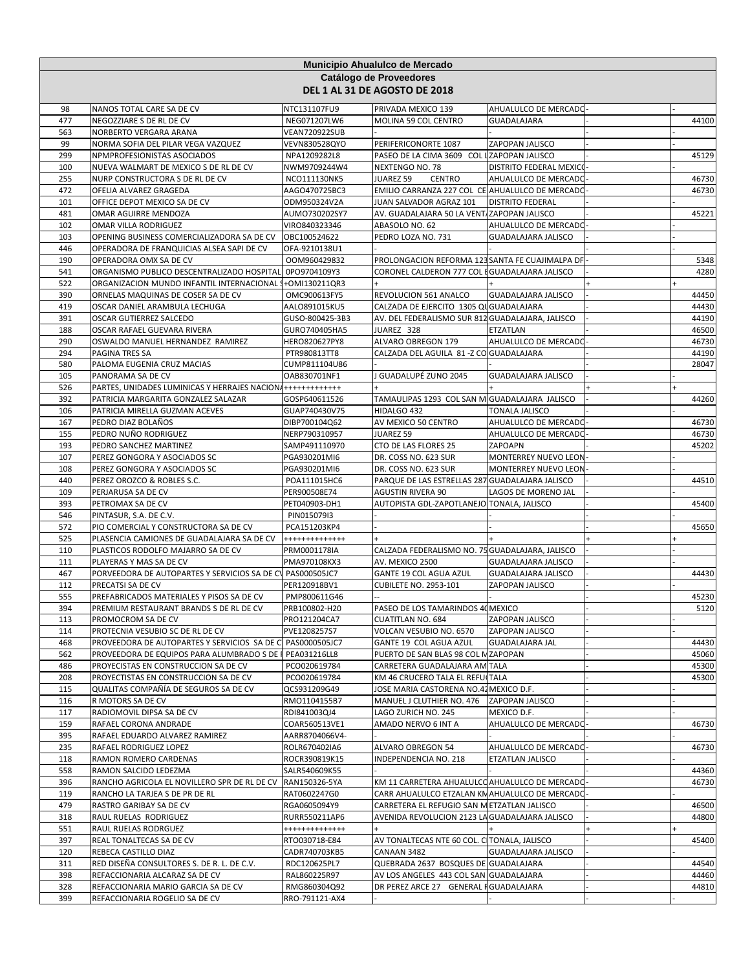|            | Municipio Ahualulco de Mercado<br>Catálogo de Proveedores<br>DEL 1 AL 31 DE AGOSTO DE 2018 |                                  |                                                                    |                            |  |                |  |  |  |
|------------|--------------------------------------------------------------------------------------------|----------------------------------|--------------------------------------------------------------------|----------------------------|--|----------------|--|--|--|
|            |                                                                                            |                                  |                                                                    |                            |  |                |  |  |  |
| 98         | NANOS TOTAL CARE SA DE CV                                                                  | NTC131107FU9                     | PRIVADA MEXICO 139                                                 | AHUALULCO DE MERCADO       |  |                |  |  |  |
| 477        | NEGOZZIARE S DE RL DE CV                                                                   | NEG071207LW6                     | MOLINA 59 COL CENTRO                                               | GUADALAJARA                |  | 44100          |  |  |  |
| 563        | NORBERTO VERGARA ARANA                                                                     | <b>VEAN720922SUB</b>             |                                                                    |                            |  |                |  |  |  |
| 99<br>299  | NORMA SOFIA DEL PILAR VEGA VAZQUEZ<br>NPMPROFESIONISTAS ASOCIADOS                          | VEVN830528QYO<br>NPA1209282L8    | PERIFERICONORTE 1087<br>PASEO DE LA CIMA 3609 COL LZAPOPAN JALISCO | ZAPOPAN JALISCO            |  | 45129          |  |  |  |
| 100        | NUEVA WALMART DE MEXICO S DE RL DE CV                                                      | NWM9709244W4                     | NEXTENGO NO. 78                                                    | DISTRITO FEDERAL MEXICO    |  |                |  |  |  |
| 255        | NURP CONSTRUCTORA S DE RL DE CV                                                            | NCO111130NK5                     | JUAREZ 59<br><b>CENTRO</b>                                         | AHUALULCO DE MERCADO       |  | 46730          |  |  |  |
| 472        | OFELIA ALVAREZ GRAGEDA                                                                     | AAGO470725BC3                    | EMILIO CARRANZA 227 COL CE AHUALULCO DE MERCADO                    |                            |  | 46730          |  |  |  |
| 101        | OFFICE DEPOT MEXICO SA DE CV                                                               | ODM950324V2A                     | JUAN SALVADOR AGRAZ 101                                            | <b>DISTRITO FEDERAL</b>    |  |                |  |  |  |
| 481        | OMAR AGUIRRE MENDOZA                                                                       | AUMO730202SY7                    | AV. GUADALAJARA 50 LA VENT ZAPOPAN JALISCO                         |                            |  | 45221          |  |  |  |
| 102        | OMAR VILLA RODRIGUEZ                                                                       | VIRO840323346                    | ABASOLO NO. 62                                                     | AHUALULCO DE MERCADO       |  |                |  |  |  |
| 103        | OPENING BUSINESS COMERCIALIZADORA SA DE CV                                                 | OBC100524622                     | PEDRO LOZA NO. 731                                                 | GUADALAJARA JALISCO        |  |                |  |  |  |
| 446        | OPERADORA DE FRANQUICIAS ALSEA SAPI DE CV                                                  | OFA-9210138U1                    |                                                                    |                            |  |                |  |  |  |
| 190        | OPERADORA OMX SA DE CV                                                                     | OOM960429832                     | PROLONGACION REFORMA 123 SANTA FE CUAJIMALPA DF                    |                            |  | 5348           |  |  |  |
| 541        | ORGANISMO PUBLICO DESCENTRALIZADO HOSPITAL                                                 | 0PO9704109Y3                     | CORONEL CALDERON 777 COL EGUADALAJARA JALISCO                      |                            |  | 4280           |  |  |  |
| 522        | ORGANIZACION MUNDO INFANTIL INTERNACIONAL 1+OMI130211QR3                                   |                                  |                                                                    |                            |  |                |  |  |  |
| 390        | ORNELAS MAQUINAS DE COSER SA DE CV                                                         | OMC900613FY5                     | REVOLUCION 561 ANALCO                                              | <b>GUADALAJARA JALISCO</b> |  | 44450          |  |  |  |
| 419        | OSCAR DANIEL ARAMBULA LECHUGA<br>OSCAR GUTIERREZ SALCEDO                                   | AALO891015KU5<br>GUSO-800425-3B3 | CALZADA DE EJERCITO 1305 QU GUADALAJARA                            |                            |  | 44430          |  |  |  |
| 391<br>188 | OSCAR RAFAEL GUEVARA RIVERA                                                                | GURO740405HA5                    | AV. DEL FEDERALISMO SUR 812 GUADALAJARA, JALISCO<br>JUAREZ 328     | ETZATLAN                   |  | 44190<br>46500 |  |  |  |
| 290        | OSWALDO MANUEL HERNANDEZ RAMIREZ                                                           | HERO820627PY8                    | ALVARO OBREGON 179                                                 | AHUALULCO DE MERCADO       |  | 46730          |  |  |  |
| 294        | <b>PAGINA TRES SA</b>                                                                      | PTR980813TT8                     | CALZADA DEL AGUILA 81 - Z CO GUADALAJARA                           |                            |  | 44190          |  |  |  |
| 580        | PALOMA EUGENIA CRUZ MACIAS                                                                 | CUMP811104U86                    |                                                                    |                            |  | 28047          |  |  |  |
| 105        | PANORAMA SA DE CV                                                                          | OAB830701NF1                     | J GUADALUPÉ ZUNO 2045                                              | GUADALAJARA JALISCO        |  |                |  |  |  |
| 526        | PARTES, UNIDADES LUMINICAS Y HERRAJES NACION +++++++++++++++                               |                                  |                                                                    |                            |  |                |  |  |  |
| 392        | PATRICIA MARGARITA GONZALEZ SALAZAR                                                        | GOSP640611526                    | TAMAULIPAS 1293 COL SAN M GUADALAJARA JALISCO                      |                            |  | 44260          |  |  |  |
| 106        | PATRICIA MIRELLA GUZMAN ACEVES                                                             | GUAP740430V75                    | HIDALGO 432                                                        | <b>TONALA JALISCO</b>      |  |                |  |  |  |
| 167        | PEDRO DIAZ BOLAÑOS                                                                         | DIBP700104Q62                    | AV MEXICO 50 CENTRO                                                | AHUALULCO DE MERCADO       |  | 46730          |  |  |  |
| 155        | PEDRO NUÑO RODRIGUEZ                                                                       | NERP790310957                    | JUAREZ 59                                                          | AHUALULCO DE MERCADO       |  | 46730          |  |  |  |
| 193        | PEDRO SANCHEZ MARTINEZ                                                                     | SAMP491110970                    | CTO DE LAS FLORES 25                                               | ZAPOAPN                    |  | 45202          |  |  |  |
| 107        | PEREZ GONGORA Y ASOCIADOS SC                                                               | PGA930201MI6                     | DR. COSS NO. 623 SUR                                               | MONTERREY NUEVO LEON       |  |                |  |  |  |
| 108        | PEREZ GONGORA Y ASOCIADOS SC                                                               | PGA930201MI6                     | DR. COSS NO. 623 SUR                                               | MONTERREY NUEVO LEON       |  |                |  |  |  |
| 440        | PEREZ OROZCO & ROBLES S.C.                                                                 | POA111015HC6                     | PARQUE DE LAS ESTRELLAS 287 GUADALAJARA JALISCO                    |                            |  | 44510          |  |  |  |
| 109        | PERJARUSA SA DE CV                                                                         | PER900508E74                     | <b>AGUSTIN RIVERA 90</b>                                           | LAGOS DE MORENO JAL        |  |                |  |  |  |
| 393        | PETROMAX SA DE CV                                                                          | PET040903-DH1                    | AUTOPISTA GDL-ZAPOTLANEJO TONALA, JALISCO                          |                            |  | 45400          |  |  |  |
| 546        | PINTASUR, S.A. DE C.V.                                                                     | PIN015079I3                      |                                                                    |                            |  |                |  |  |  |
| 572        | PIO COMERCIAL Y CONSTRUCTORA SA DE CV                                                      | PCA151203KP4                     |                                                                    |                            |  | 45650          |  |  |  |
| 525        | PLASENCIA CAMIONES DE GUADALAJARA SA DE CV                                                 | +++++++++++++                    |                                                                    |                            |  |                |  |  |  |
| 110<br>111 | PLASTICOS RODOLFO MAJARRO SA DE CV<br>PLAYERAS Y MAS SA DE CV                              | PRM0001178IA<br>PMA970108KX3     | CALZADA FEDERALISMO NO. 75 GUADALAJARA, JALISCO<br>AV. MEXICO 2500 | GUADALAJARA JALISCO        |  |                |  |  |  |
| 467        | PORVEEDORA DE AUTOPARTES Y SERVICIOS SA DE CV PAS000505JC7                                 |                                  | GANTE 19 COL AGUA AZUL                                             | GUADALAJARA JALISCO        |  | 44430          |  |  |  |
| 112        | PRECATSI SA DE CV                                                                          | PER120918BV1                     | <b>CUBILETE NO. 2953-101</b>                                       | ZAPOPAN JALISCO            |  |                |  |  |  |
| 555        | PREFABRICADOS MATERIALES Y PISOS SA DE CV                                                  | PMP800611G46                     |                                                                    |                            |  | 45230          |  |  |  |
| 394        | PREMIUM RESTAURANT BRANDS S DE RL DE CV                                                    | PRB100802-H20                    | PASEO DE LOS TAMARINDOS 40 MEXICO                                  |                            |  | 5120           |  |  |  |
| 113        | PROMOCROM SA DE CV                                                                         | PRO121204CA7                     | <b>CUATITLAN NO. 684</b>                                           | ZAPOPAN JALISCO            |  |                |  |  |  |
| 114        | PROTECNIA VESUBIO SC DE RL DE CV                                                           | PVE1208257S7                     | VOLCAN VESUBIO NO. 6570                                            | ZAPOPAN JALISCO            |  |                |  |  |  |
| 468        | PROVEEDORA DE AUTOPARTES Y SERVICIOS SA DE C PAS0000505JC7                                 |                                  | GANTE 19 COL AGUA AZUL                                             | <b>GUADALAJARA JAL</b>     |  | 44430          |  |  |  |
| 562        | PROVEEDORA DE EQUIPOS PARA ALUMBRADO S DE PEA031216LL8                                     |                                  | PUERTO DE SAN BLAS 98 COL M ZAPOPAN                                |                            |  | 45060          |  |  |  |
| 486        | PROYECISTAS EN CONSTRUCCION SA DE CV                                                       | PCO020619784                     | CARRETERA GUADALAJARA AM TALA                                      |                            |  | 45300          |  |  |  |
| 208        | PROYECTISTAS EN CONSTRUCCION SA DE CV                                                      | PCO020619784                     | KM 46 CRUCERO TALA EL REFUITALA                                    |                            |  | 45300          |  |  |  |
| 115        | QUALITAS COMPAÑÍA DE SEGUROS SA DE CV                                                      | QCS931209G49                     | JOSE MARIA CASTORENA NO.42 MEXICO D.F.                             |                            |  |                |  |  |  |
| 116        | R MOTORS SA DE CV                                                                          | RMO1104155B7                     | MANUEL J CLUTHIER NO. 476                                          | ZAPOPAN JALISCO            |  |                |  |  |  |
| 117        | RADIOMOVIL DIPSA SA DE CV                                                                  | RDI841003QJ4                     | LAGO ZURICH NO. 245                                                | MEXICO D.F.                |  |                |  |  |  |
| 159        | RAFAEL CORONA ANDRADE                                                                      | COAR560513VE1                    | AMADO NERVO 6 INT A                                                | AHUALULCO DE MERCADO       |  | 46730          |  |  |  |
| 395        | RAFAEL EDUARDO ALVAREZ RAMIREZ                                                             | AARR8704066V4-                   |                                                                    |                            |  |                |  |  |  |
| 235        | RAFAEL RODRIGUEZ LOPEZ                                                                     | ROLR670402IA6                    | ALVARO OBREGON 54<br>INDEPENDENCIA NO. 218                         | AHUALULCO DE MERCADO       |  | 46730          |  |  |  |
| 118<br>558 | RAMON ROMERO CARDENAS<br>RAMON SALCIDO LEDEZMA                                             | ROCR390819K15<br>SALR540609K55   |                                                                    | ETZATLAN JALISCO           |  | 44360          |  |  |  |
| 396        | RANCHO AGRICOLA EL NOVILLERO SPR DE RL DE CV                                               | RAN150326-5YA                    | KM 11 CARRETERA AHUALULCO AHUALULCO DE MERCADO-                    |                            |  | 46730          |  |  |  |
| 119        | RANCHO LA TARJEA S DE PR DE RL                                                             | RAT0602247G0                     | CARR AHUALULCO ETZALAN KN AHUALULCO DE MERCADO                     |                            |  |                |  |  |  |
| 479        | RASTRO GARIBAY SA DE CV                                                                    | RGA0605094Y9                     | CARRETERA EL REFUGIO SAN METZATLAN JALISCO                         |                            |  | 46500          |  |  |  |
| 318        | RAUL RUELAS RODRIGUEZ                                                                      | RURR550211AP6                    | AVENIDA REVOLUCION 2123 LA GUADALAJARA JALISCO                     |                            |  | 44800          |  |  |  |
| 551        | RAUL RUELAS RODRGUEZ                                                                       | +++++++++++++                    |                                                                    |                            |  |                |  |  |  |
| 397        | REAL TONALTECAS SA DE CV                                                                   | RTO030718-E84                    | AV TONALTECAS NTE 60 COL. C TONALA, JALISCO                        |                            |  | 45400          |  |  |  |
| 120        | REBECA CASTILLO DIAZ                                                                       | CADR740703KB5                    | CANAAN 3482                                                        | GUADALAJARA JALISCO        |  |                |  |  |  |
| 311        | RED DISEÑA CONSULTORES S. DE R. L. DE C.V.                                                 | RDC120625PL7                     | QUEBRADA 2637 BOSQUES DE GUADALAJARA                               |                            |  | 44540          |  |  |  |
| 398        | REFACCIONARIA ALCARAZ SA DE CV                                                             | RAL860225R97                     | AV LOS ANGELES 443 COL SAN GUADALAJARA                             |                            |  | 44460          |  |  |  |
| 328        | REFACCIONARIA MARIO GARCIA SA DE CV                                                        | RMG860304Q92                     | DR PEREZ ARCE 27 GENERAL FGUADALAJARA                              |                            |  | 44810          |  |  |  |
| 399        | REFACCIONARIA ROGELIO SA DE CV                                                             | RRO-791121-AX4                   |                                                                    |                            |  |                |  |  |  |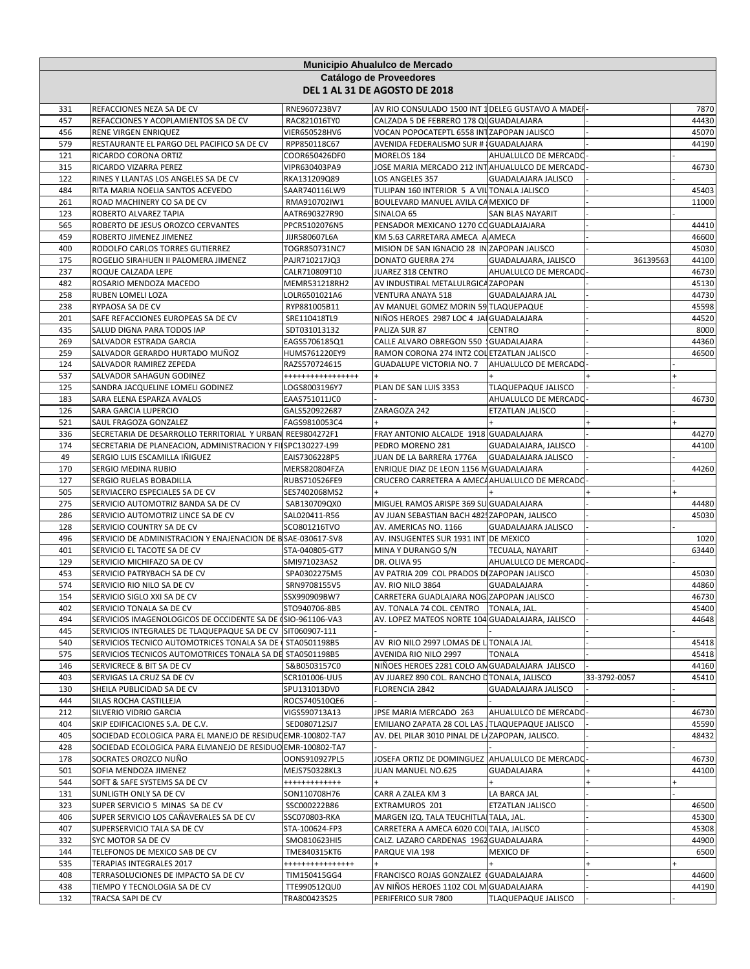|            | Municipio Ahualulco de Mercado<br>Catálogo de Proveedores<br>DEL 1 AL 31 DE AGOSTO DE 2018 |                                |                                                                                              |                                          |              |                |  |
|------------|--------------------------------------------------------------------------------------------|--------------------------------|----------------------------------------------------------------------------------------------|------------------------------------------|--------------|----------------|--|
|            |                                                                                            |                                |                                                                                              |                                          |              |                |  |
| 331<br>457 | REFACCIONES NEZA SA DE CV<br>REFACCIONES Y ACOPLAMIENTOS SA DE CV                          | RNE960723BV7<br>RAC821016TY0   | AV RIO CONSULADO 1500 INT 1 DELEG GUSTAVO A MADER<br>CALZADA 5 DE FEBRERO 178 QU GUADALAJARA |                                          |              | 7870<br>44430  |  |
| 456        | RENE VIRGEN ENRIQUEZ                                                                       | VIER650528HV6                  | VOCAN POPOCATEPTL 6558 INTZAPOPAN JALISCO                                                    |                                          |              | 45070          |  |
| 579        | RESTAURANTE EL PARGO DEL PACIFICO SA DE CV                                                 | RPP850118C67                   | AVENIDA FEDERALISMO SUR # GUADALAJARA                                                        |                                          |              | 44190          |  |
| 121        | RICARDO CORONA ORTIZ                                                                       | COOR650426DF0                  | MORELOS 184                                                                                  | AHUALULCO DE MERCADO                     |              |                |  |
| 315        | RICARDO VIZARRA PEREZ                                                                      | VIPR630403PA9                  | JOSE MARIA MERCADO 212 INTAHUALULCO DE MERCADO                                               |                                          |              | 46730          |  |
| 122        | RINES Y LLANTAS LOS ANGELES SA DE CV                                                       | RKA131209Q89                   | LOS ANGELES 357                                                                              | GUADALAJARA JALISCO                      |              |                |  |
| 484        | RITA MARIA NOELIA SANTOS ACEVEDO                                                           | SAAR740116LW9                  | TULIPAN 160 INTERIOR 5 A VIL TONALA JALISCO                                                  |                                          |              | 45403          |  |
| 261<br>123 | ROAD MACHINERY CO SA DE CV<br>ROBERTO ALVAREZ TAPIA                                        | RMA910702IW1<br>AATR690327R90  | BOULEVARD MANUEL AVILA CA MEXICO DF<br>SINALOA 65                                            | <b>SAN BLAS NAYARIT</b>                  |              | 11000          |  |
| 565        | ROBERTO DE JESUS OROZCO CERVANTES                                                          | PPCR5102076N5                  | PENSADOR MEXICANO 1270 CO GUADLAJAJARA                                                       |                                          |              | 44410          |  |
| 459        | ROBERTO JIMENEZ JIMENEZ                                                                    | JIJR580607L6A                  | KM 5.63 CARRETARA AMECA A AMECA                                                              |                                          |              | 46600          |  |
| 400        | RODOLFO CARLOS TORRES GUTIERREZ                                                            | TOGR850731NC7                  | MISION DE SAN IGNACIO 28 IN ZAPOPAN JALISCO                                                  |                                          |              | 45030          |  |
| 175        | ROGELIO SIRAHUEN II PALOMERA JIMENEZ                                                       | PAJR710217JQ3                  | DONATO GUERRA 274                                                                            | GUADALAJARA, JALISCO                     | 36139563     | 44100          |  |
| 237        | ROQUE CALZADA LEPE                                                                         | CALR710809T10                  | JUAREZ 318 CENTRO                                                                            | AHUALULCO DE MERCADO                     |              | 46730          |  |
| 482        | ROSARIO MENDOZA MACEDO                                                                     | MEMR531218RH2                  | AV INDUSTIRAL METALULRGICA ZAPOPAN                                                           |                                          |              | 45130          |  |
| 258<br>238 | RUBEN LOMELI LOZA<br>RYPAOSA SA DE CV                                                      | LOLR6501021A6<br>RYP881005B11  | VENTURA ANAYA 518<br>AV MANUEL GOMEZ MORIN 59 TLAQUEPAQUE                                    | <b>GUADALAJARA JAL</b>                   |              | 44730<br>45598 |  |
| 201        | SAFE REFACCIONES EUROPEAS SA DE CV                                                         | SRE110418TL9                   | NIÑOS HEROES 2987 LOC 4 JAI GUADALAJARA                                                      |                                          |              | 44520          |  |
| 435        | SALUD DIGNA PARA TODOS IAP                                                                 | SDT031013132                   | PALIZA SUR 87                                                                                | <b>CENTRO</b>                            |              | 8000           |  |
| 269        | SALVADOR ESTRADA GARCIA                                                                    | EAGS5706185Q1                  | CALLE ALVARO OBREGON 550 GUADALAJARA                                                         |                                          |              | 44360          |  |
| 259        | SALVADOR GERARDO HURTADO MUÑOZ                                                             | HUMS761220EY9                  | RAMON CORONA 274 INT2 COL ETZATLAN JALISCO                                                   |                                          |              | 46500          |  |
| 124        | SALVADOR RAMIREZ ZEPEDA                                                                    | RAZS570724615                  | <b>GUADALUPE VICTORIA NO. 7</b>                                                              | AHUALULCO DE MERCADO                     |              |                |  |
| 537        | SALVADOR SAHAGUN GODINEZ                                                                   | *****************              |                                                                                              |                                          |              |                |  |
| 125        | SANDRA JACQUELINE LOMELI GODINEZ                                                           | LOGS8003196Y7                  | PLAN DE SAN LUIS 3353                                                                        | TLAQUEPAQUE JALISCO                      |              |                |  |
| 183<br>126 | SARA ELENA ESPARZA AVALOS<br>SARA GARCIA LUPERCIO                                          | EAAS751011JC0<br>GALS520922687 | ZARAGOZA 242                                                                                 | AHUALULCO DE MERCADO<br>ETZATLAN JALISCO |              | 46730          |  |
| 521        | SAUL FRAGOZA GONZALEZ                                                                      | FAGS9810053C4                  |                                                                                              |                                          |              |                |  |
| 336        | SECRETARIA DE DESARROLLO TERRITORIAL Y URBAN REE9804272F1                                  |                                | FRAY ANTONIO ALCALDE 1918 GUADALAJARA                                                        |                                          |              | 44270          |  |
| 174        | SECRETARIA DE PLANEACION, ADMINISTRACION Y FI SPC130227-L99                                |                                | PEDRO MORENO 281                                                                             | GUADALAJARA, JALISCO                     |              | 44100          |  |
| 49         | SERGIO LUIS ESCAMILLA IÑIGUEZ                                                              | EAIS7306228P5                  | JUAN DE LA BARRERA 1776A                                                                     | <b>GUADALAJARA JALISCO</b>               |              |                |  |
| 170        | SERGIO MEDINA RUBIO                                                                        | MERS820804FZA                  | ENRIQUE DIAZ DE LEON 1156 M GUADALAJARA                                                      |                                          |              | 44260          |  |
| 127        | SERGIO RUELAS BOBADILLA                                                                    | RUBS710526FE9                  | CRUCERO CARRETERA A AMECA AHUALULCO DE MERCADO                                               |                                          |              |                |  |
| 505<br>275 | SERVIACERO ESPECIALES SA DE CV<br>SERVICIO AUTOMOTRIZ BANDA SA DE CV                       | SES7402068MS2                  | MIGUEL RAMOS ARISPE 369 SU GUADALAJARA                                                       |                                          |              | 44480          |  |
| 286        | SERVICIO AUTOMOTRIZ LINCE SA DE CV                                                         | SAB130709QX0<br>SAL020411-R56  | AV JUAN SEBASTIAN BACH 4825 ZAPOPAN, JALISCO                                                 |                                          |              | 45030          |  |
| 128        | SERVICIO COUNTRY SA DE CV                                                                  | SCO801216TVO                   | AV. AMERICAS NO. 1166                                                                        | <b>GUADALAJARA JALISCO</b>               |              |                |  |
| 496        | SERVICIO DE ADMINISTRACION Y ENAJENACION DE B SAE-030617-SV8                               |                                | AV. INSUGENTES SUR 1931 INT DE MEXICO                                                        |                                          |              | 1020           |  |
| 401        | SERVICIO EL TACOTE SA DE CV                                                                | STA-040805-GT7                 | MINA Y DURANGO S/N                                                                           | TECUALA, NAYARIT                         |              | 63440          |  |
| 129        | SERVICIO MICHIFAZO SA DE CV                                                                | SMI971023AS2                   | DR. OLIVA 95                                                                                 | AHUALULCO DE MERCADO                     |              |                |  |
| 453        | SERVICIO PATRYBACH SA DE CV                                                                | SPA0302275M5                   | AV PATRIA 209 COL PRADOS DI ZAPOPAN JALISCO                                                  |                                          |              | 45030          |  |
| 574        | SERVICIO RIO NILO SA DE CV                                                                 | SRN9708155V5                   | AV. RIO NILO 3864                                                                            | GUADALAJARA                              |              | 44860          |  |
| 154<br>402 | SERVICIO SIGLO XXI SA DE CV<br>SERVICIO TONALA SA DE CV                                    | SSX990909BW7<br>STO940706-8B5  | CARRETERA GUADLAJARA NOG ZAPOPAN JALISCO<br>AV. TONALA 74 COL. CENTRO   TONALA, JAL.         |                                          |              | 46730<br>45400 |  |
| 494        | SERVICIOS IMAGENOLOGICOS DE OCCIDENTE SA DE (SIO-961106-VA3                                |                                | AV. LOPEZ MATEOS NORTE 104 GUADALAJARA, JALISCO                                              |                                          |              | 44648          |  |
| 445        | SERVICIOS INTEGRALES DE TLAQUEPAQUE SA DE CV SIT060907-111                                 |                                |                                                                                              |                                          |              |                |  |
| 540        | SERVICIOS TECNICO AUTOMOTRICES TONALA SA DE   STA0501198B5                                 |                                | AV RIO NILO 2997 LOMAS DE L TONALA JAL                                                       |                                          |              | 45418          |  |
| 575        | SERVICIOS TECNICOS AUTOMOTRICES TONALA SA DE STA0501198B5                                  |                                | AVENIDA RIO NILO 2997                                                                        | TONALA                                   |              | 45418          |  |
| 146        | SERVICRECE & BIT SA DE CV                                                                  | S&B0503157C0                   | NIÑOES HEROES 2281 COLO AN GUADALAJARA JALISCO                                               |                                          |              | 44160          |  |
| 403        | SERVIGAS LA CRUZ SA DE CV                                                                  | SCR101006-UU5                  | AV JUAREZ 890 COL. RANCHO LITONALA, JALISCO                                                  |                                          | 33-3792-0057 | 45410          |  |
| 130<br>444 | SHEILA PUBLICIDAD SA DE CV<br>SILAS ROCHA CASTILLEJA                                       | SPU131013DV0<br>ROCS740510QE6  | FLORENCIA 2842                                                                               | <b>GUADALAJARA JALISCO</b>               |              |                |  |
| 212        | SILVERIO VIDRIO GARCIA                                                                     | VIGS590713A13                  | JPSE MARIA MERCADO 263                                                                       | AHUALULCO DE MERCADO                     |              | 46730          |  |
| 404        | SKIP EDIFICACIONES S.A. DE C.V.                                                            | SED080712SJ7                   | EMILIANO ZAPATA 28 COL LAS JTLAQUEPAQUE JALISCO                                              |                                          |              | 45590          |  |
| 405        | SOCIEDAD ECOLOGICA PARA EL MANEJO DE RESIDUCEMR-100802-TA7                                 |                                | AV. DEL PILAR 3010 PINAL DE LIZAPOPAN, JALISCO.                                              |                                          |              | 48432          |  |
| 428        | SOCIEDAD ECOLOGICA PARA ELMANEJO DE RESIDUO EMR-100802-TA7                                 |                                |                                                                                              |                                          |              |                |  |
| 178        | SOCRATES OROZCO NUÑO                                                                       | OONS910927PL5                  | JOSEFA ORTIZ DE DOMINGUEZ  AHUALULCO DE MERCADO-                                             |                                          |              | 46730          |  |
| 501        | SOFIA MENDOZA JIMENEZ                                                                      | MEJS750328KL3                  | JUAN MANUEL NO.625                                                                           | GUADALAJARA                              |              | 44100          |  |
| 544        | SOFT & SAFE SYSTEMS SA DE CV                                                               | ++++++++++++                   |                                                                                              |                                          |              |                |  |
| 131<br>323 | SUNLIGTH ONLY SA DE CV<br>SUPER SERVICIO 5 MINAS SA DE CV                                  | SON110708H76<br>SSC000222B86   | CARR A ZALEA KM 3<br>EXTRAMUROS 201                                                          | LA BARCA JAL<br>ETZATLAN JALISCO         |              | 46500          |  |
| 406        | SUPER SERVICIO LOS CAÑAVERALES SA DE CV                                                    | SSC070803-RKA                  | MARGEN IZQ. TALA TEUCHITLAI TALA, JAL.                                                       |                                          |              | 45300          |  |
| 407        | SUPERSERVICIO TALA SA DE CV                                                                | STA-100624-FP3                 | CARRETERA A AMECA 6020 COLTALA, JALISCO                                                      |                                          |              | 45308          |  |
| 332        | SYC MOTOR SA DE CV                                                                         | SMO810623HI5                   | CALZ. LAZARO CARDENAS 1962 GUADALAJARA                                                       |                                          |              | 44900          |  |
| 144        | TELEFONOS DE MEXICO SAB DE CV                                                              | TME840315KT6                   | PARQUE VIA 198                                                                               | MEXICO DF                                |              | 6500           |  |
| 535        | TERAPIAS INTEGRALES 2017                                                                   | ****************               |                                                                                              |                                          |              | $+$            |  |
| 408        | TERRASOLUCIONES DE IMPACTO SA DE CV                                                        | TIM150415GG4                   | FRANCISCO ROJAS GONZALEZ (GUADALAJARA                                                        |                                          |              | 44600          |  |
| 438<br>132 | TIEMPO Y TECNOLOGIA SA DE CV                                                               | TTE990512QU0                   | AV NIÑOS HEROES 1102 COL M GUADALAJARA                                                       |                                          |              | 44190          |  |
|            | TRACSA SAPI DE CV                                                                          | TRA800423S25                   | PERIFERICO SUR 7800                                                                          | TLAQUEPAQUE JALISCO                      |              |                |  |